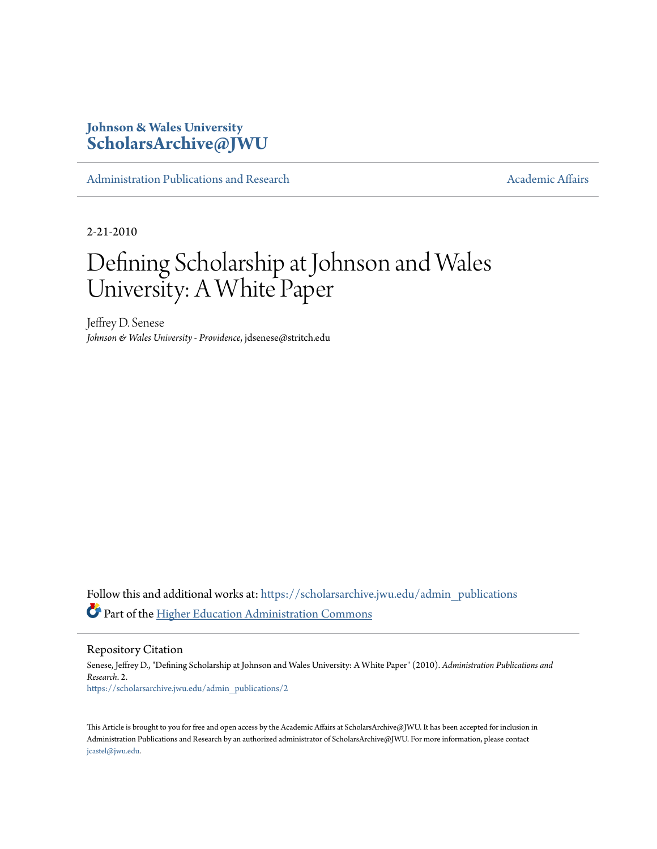# **Johnson & Wales University [ScholarsArchive@JWU](https://scholarsarchive.jwu.edu?utm_source=scholarsarchive.jwu.edu%2Fadmin_publications%2F2&utm_medium=PDF&utm_campaign=PDFCoverPages)**

[Administration Publications and Research](https://scholarsarchive.jwu.edu/admin_publications?utm_source=scholarsarchive.jwu.edu%2Fadmin_publications%2F2&utm_medium=PDF&utm_campaign=PDFCoverPages) [Academic Affairs](https://scholarsarchive.jwu.edu/ac_affairs?utm_source=scholarsarchive.jwu.edu%2Fadmin_publications%2F2&utm_medium=PDF&utm_campaign=PDFCoverPages) Academic Affairs

2-21-2010

# Defining Scholarship at Johnson and Wales University: A White Paper

Jeffrey D. Senese *Johnson & Wales University - Providence*, jdsenese@stritch.edu

Follow this and additional works at: [https://scholarsarchive.jwu.edu/admin\\_publications](https://scholarsarchive.jwu.edu/admin_publications?utm_source=scholarsarchive.jwu.edu%2Fadmin_publications%2F2&utm_medium=PDF&utm_campaign=PDFCoverPages) Part of the [Higher Education Administration Commons](http://network.bepress.com/hgg/discipline/791?utm_source=scholarsarchive.jwu.edu%2Fadmin_publications%2F2&utm_medium=PDF&utm_campaign=PDFCoverPages)

Repository Citation

Senese, Jeffrey D., "Defining Scholarship at Johnson and Wales University: A White Paper" (2010). *Administration Publications and Research*. 2. [https://scholarsarchive.jwu.edu/admin\\_publications/2](https://scholarsarchive.jwu.edu/admin_publications/2?utm_source=scholarsarchive.jwu.edu%2Fadmin_publications%2F2&utm_medium=PDF&utm_campaign=PDFCoverPages)

This Article is brought to you for free and open access by the Academic Affairs at ScholarsArchive@JWU. It has been accepted for inclusion in Administration Publications and Research by an authorized administrator of ScholarsArchive@JWU. For more information, please contact [jcastel@jwu.edu.](mailto:jcastel@jwu.edu)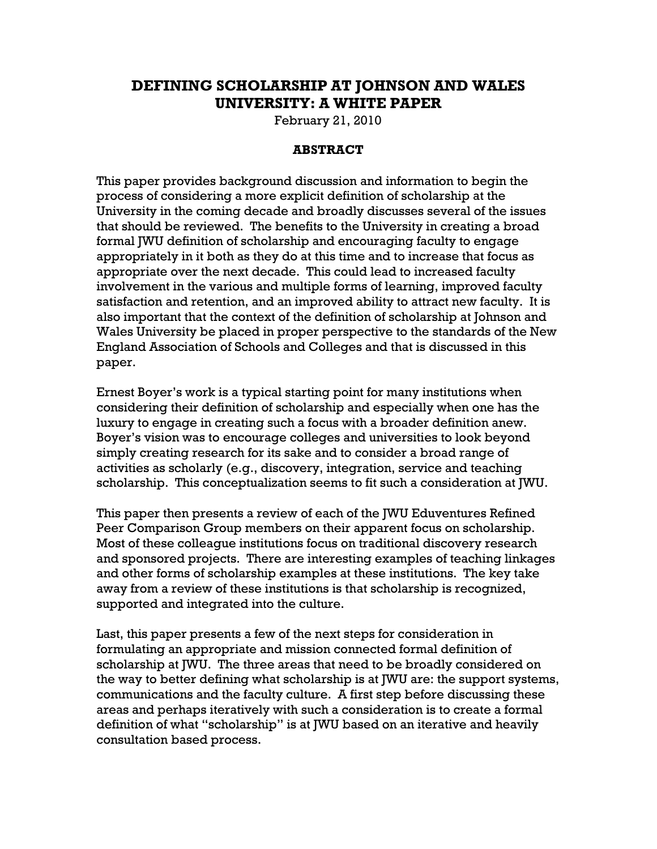# DEFINING SCHOLARSHIP AT JOHNSON AND WALES UNIVERSITY: A WHITE PAPER

February 21, 2010

#### ABSTRACT

This paper provides background discussion and information to begin the process of considering a more explicit definition of scholarship at the University in the coming decade and broadly discusses several of the issues that should be reviewed. The benefits to the University in creating a broad formal JWU definition of scholarship and encouraging faculty to engage appropriately in it both as they do at this time and to increase that focus as appropriate over the next decade. This could lead to increased faculty involvement in the various and multiple forms of learning, improved faculty satisfaction and retention, and an improved ability to attract new faculty. It is also important that the context of the definition of scholarship at Johnson and Wales University be placed in proper perspective to the standards of the New England Association of Schools and Colleges and that is discussed in this paper.

Ernest Boyer's work is a typical starting point for many institutions when considering their definition of scholarship and especially when one has the luxury to engage in creating such a focus with a broader definition anew. Boyer's vision was to encourage colleges and universities to look beyond simply creating research for its sake and to consider a broad range of activities as scholarly (e.g., discovery, integration, service and teaching scholarship. This conceptualization seems to fit such a consideration at JWU.

This paper then presents a review of each of the JWU Eduventures Refined Peer Comparison Group members on their apparent focus on scholarship. Most of these colleague institutions focus on traditional discovery research and sponsored projects. There are interesting examples of teaching linkages and other forms of scholarship examples at these institutions. The key take away from a review of these institutions is that scholarship is recognized, supported and integrated into the culture.

Last, this paper presents a few of the next steps for consideration in formulating an appropriate and mission connected formal definition of scholarship at JWU. The three areas that need to be broadly considered on the way to better defining what scholarship is at JWU are: the support systems, communications and the faculty culture. A first step before discussing these areas and perhaps iteratively with such a consideration is to create a formal definition of what "scholarship" is at JWU based on an iterative and heavily consultation based process.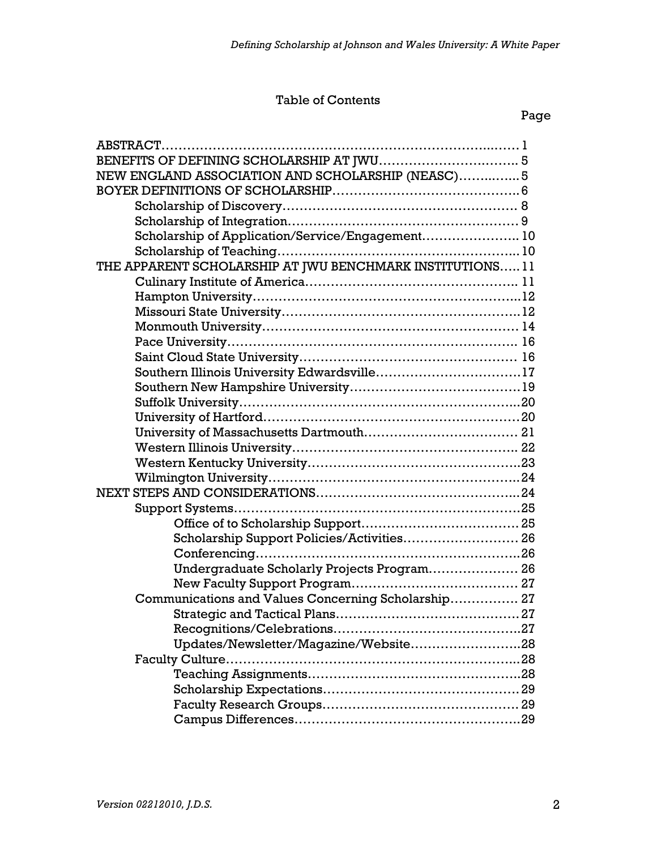#### Table of Contents

| NEW ENGLAND ASSOCIATION AND SCHOLARSHIP (NEASC) 5         |  |
|-----------------------------------------------------------|--|
|                                                           |  |
|                                                           |  |
|                                                           |  |
| Scholarship of Application/Service/Engagement 10          |  |
|                                                           |  |
| THE APPARENT SCHOLARSHIP AT JWU BENCHMARK INSTITUTIONS 11 |  |
|                                                           |  |
|                                                           |  |
|                                                           |  |
|                                                           |  |
|                                                           |  |
|                                                           |  |
|                                                           |  |
|                                                           |  |
|                                                           |  |
|                                                           |  |
|                                                           |  |
|                                                           |  |
|                                                           |  |
|                                                           |  |
|                                                           |  |
|                                                           |  |
|                                                           |  |
| Scholarship Support Policies/Activities 26                |  |
|                                                           |  |
| Undergraduate Scholarly Projects Program 26               |  |
|                                                           |  |
| Communications and Values Concerning Scholarship 27       |  |
|                                                           |  |
|                                                           |  |
| Updates/Newsletter/Magazine/Website28                     |  |
|                                                           |  |
|                                                           |  |
|                                                           |  |
|                                                           |  |
|                                                           |  |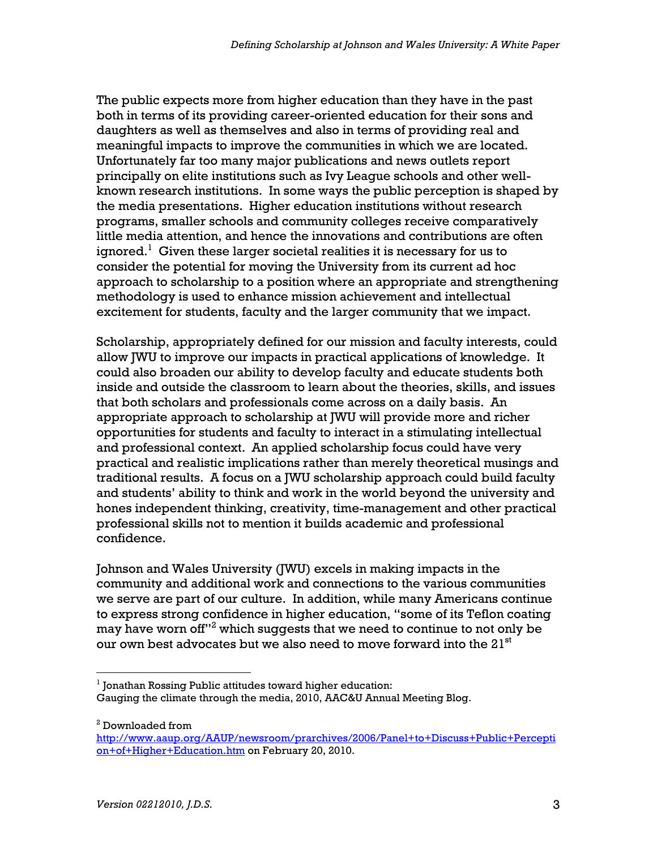The public expects more from higher education than they have in the past both in terms of its providing career-oriented education for their sons and daughters as well as themselves and also in terms of providing real and meaningful impacts to improve the communities in which we are located. Unfortunately far too many major publications and news outlets report principally on elite institutions such as Ivy League schools and other wellknown research institutions. In some ways the public perception is shaped by the media presentations. Higher education institutions without research programs, smaller schools and community colleges receive comparatively little media attention, and hence the innovations and contributions are often ignored. $^{\rm 1}$  Given these larger societal realities it is necessary for us to consider the potential for moving the University from its current ad hoc approach to scholarship to a position where an appropriate and strengthening methodology is used to enhance mission achievement and intellectual excitement for students, faculty and the larger community that we impact.

Scholarship, appropriately defined for our mission and faculty interests, could allow JWU to improve our impacts in practical applications of knowledge. It could also broaden our ability to develop faculty and educate students both inside and outside the classroom to learn about the theories, skills, and issues that both scholars and professionals come across on a daily basis. An appropriate approach to scholarship at JWU will provide more and richer opportunities for students and faculty to interact in a stimulating intellectual and professional context. An applied scholarship focus could have very practical and realistic implications rather than merely theoretical musings and traditional results. A focus on a JWU scholarship approach could build faculty and students' ability to think and work in the world beyond the university and hones independent thinking, creativity, time-management and other practical professional skills not to mention it builds academic and professional confidence.

Johnson and Wales University (JWU) excels in making impacts in the community and additional work and connections to the various communities we serve are part of our culture. In addition, while many Americans continue to express strong confidence in higher education, "some of its Teflon coating may have worn off $^{\prime\prime2}$  which suggests that we need to continue to not only be our own best advocates but we also need to move forward into the  $21^{st}$ 

 $2$  Downloaded from

<sup>-</sup> $1$  Jonathan Rossing Public attitudes toward higher education: Gauging the climate through the media, 2010, AAC&U Annual Meeting Blog.

http://www.aaup.org/AAUP/newsroom/prarchives/2006/Panel+to+Discuss+Public+Percepti on+of+Higher+Education.htm on February 20, 2010.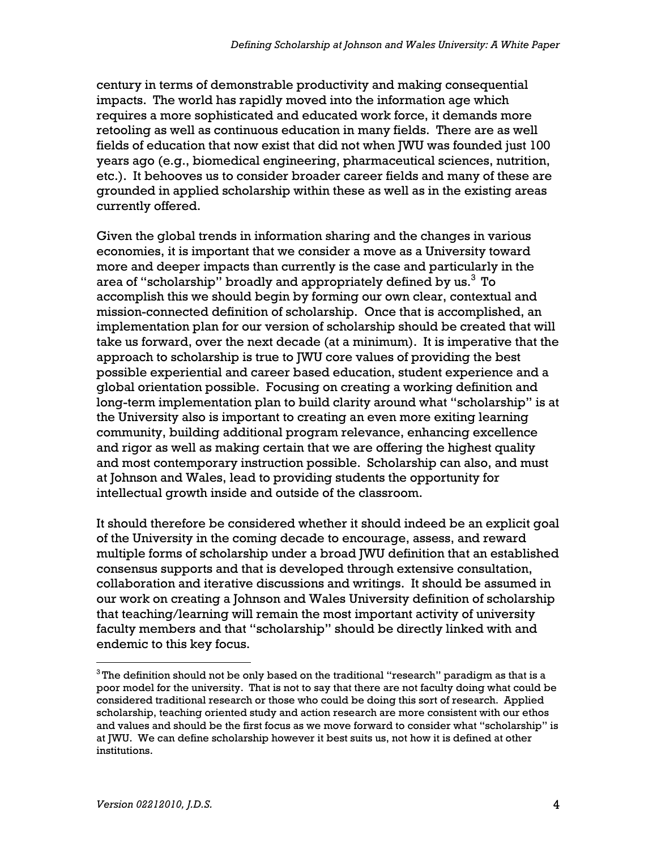century in terms of demonstrable productivity and making consequential impacts. The world has rapidly moved into the information age which requires a more sophisticated and educated work force, it demands more retooling as well as continuous education in many fields. There are as well fields of education that now exist that did not when JWU was founded just 100 years ago (e.g., biomedical engineering, pharmaceutical sciences, nutrition, etc.). It behooves us to consider broader career fields and many of these are grounded in applied scholarship within these as well as in the existing areas currently offered.

Given the global trends in information sharing and the changes in various economies, it is important that we consider a move as a University toward more and deeper impacts than currently is the case and particularly in the area of "scholarship" broadly and appropriately defined by us. $3T$ o accomplish this we should begin by forming our own clear, contextual and mission-connected definition of scholarship. Once that is accomplished, an implementation plan for our version of scholarship should be created that will take us forward, over the next decade (at a minimum). It is imperative that the approach to scholarship is true to JWU core values of providing the best possible experiential and career based education, student experience and a global orientation possible. Focusing on creating a working definition and long-term implementation plan to build clarity around what "scholarship" is at the University also is important to creating an even more exiting learning community, building additional program relevance, enhancing excellence and rigor as well as making certain that we are offering the highest quality and most contemporary instruction possible. Scholarship can also, and must at Johnson and Wales, lead to providing students the opportunity for intellectual growth inside and outside of the classroom.

It should therefore be considered whether it should indeed be an explicit goal of the University in the coming decade to encourage, assess, and reward multiple forms of scholarship under a broad JWU definition that an established consensus supports and that is developed through extensive consultation, collaboration and iterative discussions and writings. It should be assumed in our work on creating a Johnson and Wales University definition of scholarship that teaching/learning will remain the most important activity of university faculty members and that "scholarship" should be directly linked with and endemic to this key focus.

 $\overline{a}$ 

 $^3$ The definition should not be only based on the traditional "research" paradigm as that is a poor model for the university. That is not to say that there are not faculty doing what could be considered traditional research or those who could be doing this sort of research. Applied scholarship, teaching oriented study and action research are more consistent with our ethos and values and should be the first focus as we move forward to consider what "scholarship" is at JWU. We can define scholarship however it best suits us, not how it is defined at other institutions.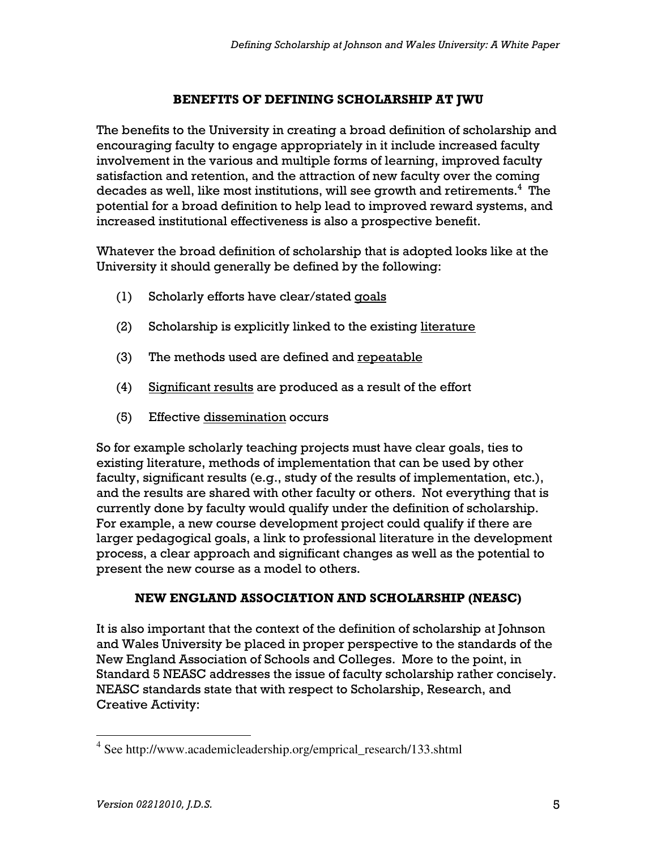#### BENEFITS OF DEFINING SCHOLARSHIP AT JWU

The benefits to the University in creating a broad definition of scholarship and encouraging faculty to engage appropriately in it include increased faculty involvement in the various and multiple forms of learning, improved faculty satisfaction and retention, and the attraction of new faculty over the coming decades as well, like most institutions, will see growth and retirements. $^4\,$  The potential for a broad definition to help lead to improved reward systems, and increased institutional effectiveness is also a prospective benefit.

Whatever the broad definition of scholarship that is adopted looks like at the University it should generally be defined by the following:

- (1) Scholarly efforts have clear/stated goals
- (2) Scholarship is explicitly linked to the existing literature
- (3) The methods used are defined and repeatable
- (4) Significant results are produced as a result of the effort
- (5) Effective dissemination occurs

So for example scholarly teaching projects must have clear goals, ties to existing literature, methods of implementation that can be used by other faculty, significant results (e.g., study of the results of implementation, etc.), and the results are shared with other faculty or others. Not everything that is currently done by faculty would qualify under the definition of scholarship. For example, a new course development project could qualify if there are larger pedagogical goals, a link to professional literature in the development process, a clear approach and significant changes as well as the potential to present the new course as a model to others.

#### NEW ENGLAND ASSOCIATION AND SCHOLARSHIP (NEASC)

It is also important that the context of the definition of scholarship at Johnson and Wales University be placed in proper perspective to the standards of the New England Association of Schools and Colleges. More to the point, in Standard 5 NEASC addresses the issue of faculty scholarship rather concisely. NEASC standards state that with respect to Scholarship, Research, and Creative Activity:

 4 See http://www.academicleadership.org/emprical\_research/133.shtml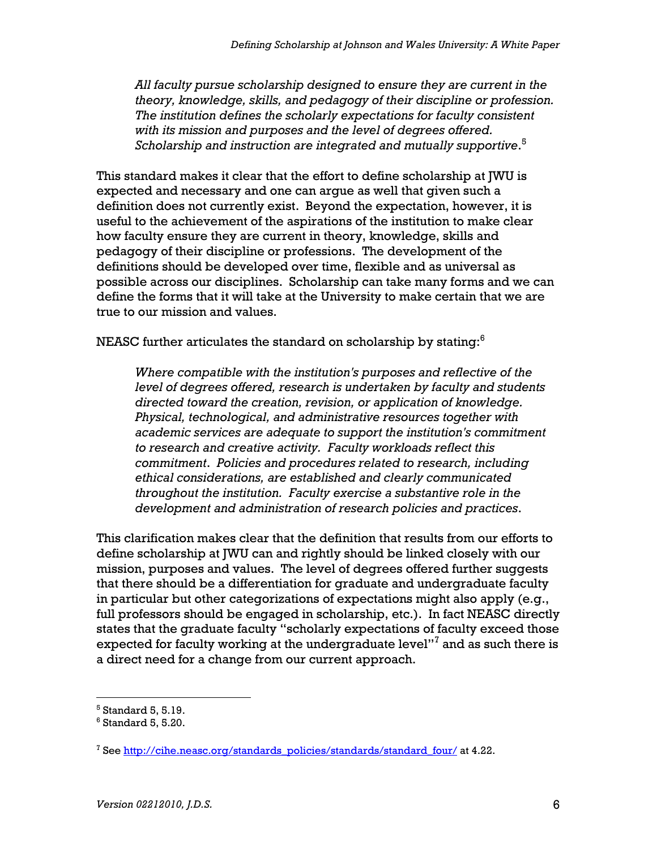All faculty pursue scholarship designed to ensure they are current in the theory, knowledge, skills, and pedagogy of their discipline or profession. The institution defines the scholarly expectations for faculty consistent with its mission and purposes and the level of degrees offered. Scholarship and instruction are integrated and mutually supportive. $^{\rm 5}$ 

This standard makes it clear that the effort to define scholarship at JWU is expected and necessary and one can argue as well that given such a definition does not currently exist. Beyond the expectation, however, it is useful to the achievement of the aspirations of the institution to make clear how faculty ensure they are current in theory, knowledge, skills and pedagogy of their discipline or professions. The development of the definitions should be developed over time, flexible and as universal as possible across our disciplines. Scholarship can take many forms and we can define the forms that it will take at the University to make certain that we are true to our mission and values.

NEASC further articulates the standard on scholarship by stating: $^6$ 

Where compatible with the institution's purposes and reflective of the level of degrees offered, research is undertaken by faculty and students directed toward the creation, revision, or application of knowledge. Physical, technological, and administrative resources together with academic services are adequate to support the institution's commitment to research and creative activity. Faculty workloads reflect this commitment. Policies and procedures related to research, including ethical considerations, are established and clearly communicated throughout the institution. Faculty exercise a substantive role in the development and administration of research policies and practices.

This clarification makes clear that the definition that results from our efforts to define scholarship at JWU can and rightly should be linked closely with our mission, purposes and values. The level of degrees offered further suggests that there should be a differentiation for graduate and undergraduate faculty in particular but other categorizations of expectations might also apply (e.g., full professors should be engaged in scholarship, etc.). In fact NEASC directly states that the graduate faculty "scholarly expectations of faculty exceed those expected for faculty working at the undergraduate level'' $^{\rm 7}$  and as such there is a direct need for a change from our current approach.

 $\overline{a}$ 

 $<sup>5</sup>$  Standard 5, 5.19.</sup>

 $^6$  Standard 5, 5.20.

<sup>&</sup>lt;sup>7</sup> See <u>http://cihe.neasc.org/standards\_policies/standards/standard\_four/</u> at 4.22.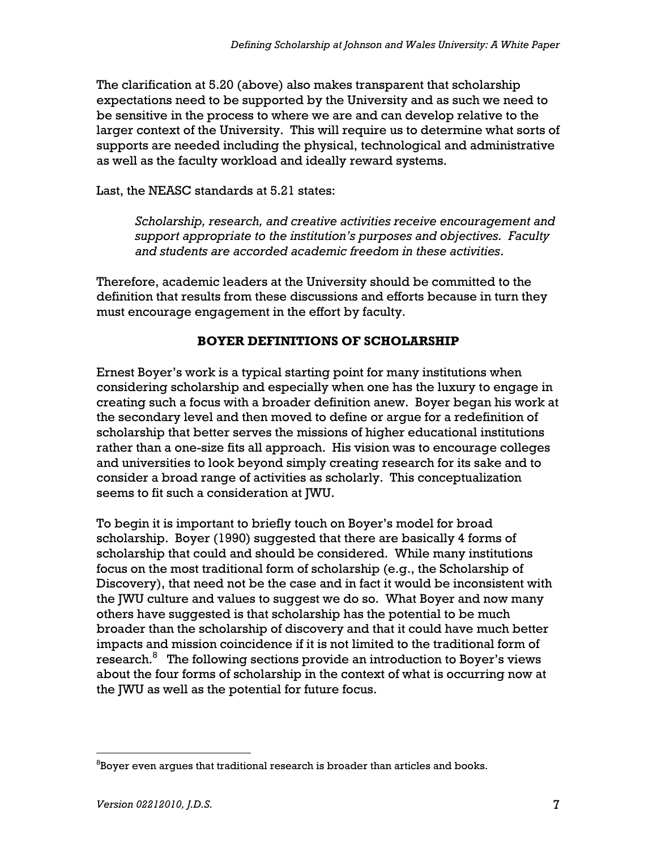The clarification at 5.20 (above) also makes transparent that scholarship expectations need to be supported by the University and as such we need to be sensitive in the process to where we are and can develop relative to the larger context of the University. This will require us to determine what sorts of supports are needed including the physical, technological and administrative as well as the faculty workload and ideally reward systems.

Last, the NEASC standards at 5.21 states:

Scholarship, research, and creative activities receive encouragement and support appropriate to the institution's purposes and objectives. Faculty and students are accorded academic freedom in these activities.

Therefore, academic leaders at the University should be committed to the definition that results from these discussions and efforts because in turn they must encourage engagement in the effort by faculty.

## BOYER DEFINITIONS OF SCHOLARSHIP

Ernest Boyer's work is a typical starting point for many institutions when considering scholarship and especially when one has the luxury to engage in creating such a focus with a broader definition anew. Boyer began his work at the secondary level and then moved to define or argue for a redefinition of scholarship that better serves the missions of higher educational institutions rather than a one-size fits all approach. His vision was to encourage colleges and universities to look beyond simply creating research for its sake and to consider a broad range of activities as scholarly. This conceptualization seems to fit such a consideration at JWU.

To begin it is important to briefly touch on Boyer's model for broad scholarship. Boyer (1990) suggested that there are basically 4 forms of scholarship that could and should be considered. While many institutions focus on the most traditional form of scholarship (e.g., the Scholarship of Discovery), that need not be the case and in fact it would be inconsistent with the JWU culture and values to suggest we do so. What Boyer and now many others have suggested is that scholarship has the potential to be much broader than the scholarship of discovery and that it could have much better impacts and mission coincidence if it is not limited to the traditional form of research.<sup>8</sup> The following sections provide an introduction to Boyer's views about the four forms of scholarship in the context of what is occurring now at the JWU as well as the potential for future focus.

 $\overline{a}$  ${}^{8}$ Boyer even argues that traditional research is broader than articles and books.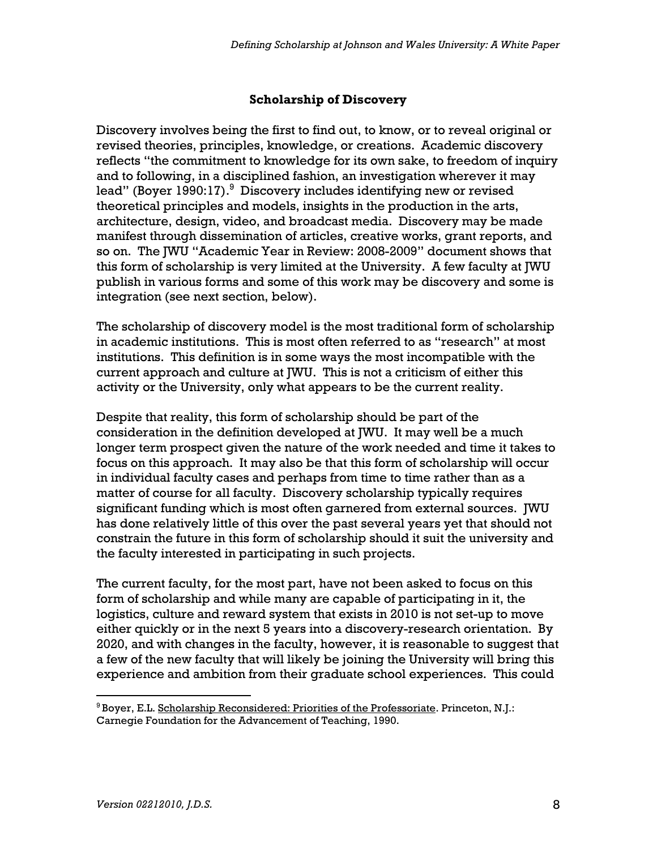#### Scholarship of Discovery

Discovery involves being the first to find out, to know, or to reveal original or revised theories, principles, knowledge, or creations. Academic discovery reflects "the commitment to knowledge for its own sake, to freedom of inquiry and to following, in a disciplined fashion, an investigation wherever it may lead" (Boyer 1990:17). $^9$  Discovery includes identifying new or revised theoretical principles and models, insights in the production in the arts, architecture, design, video, and broadcast media. Discovery may be made manifest through dissemination of articles, creative works, grant reports, and so on. The JWU "Academic Year in Review: 2008-2009" document shows that this form of scholarship is very limited at the University. A few faculty at JWU publish in various forms and some of this work may be discovery and some is integration (see next section, below).

The scholarship of discovery model is the most traditional form of scholarship in academic institutions. This is most often referred to as "research" at most institutions. This definition is in some ways the most incompatible with the current approach and culture at JWU. This is not a criticism of either this activity or the University, only what appears to be the current reality.

Despite that reality, this form of scholarship should be part of the consideration in the definition developed at JWU. It may well be a much longer term prospect given the nature of the work needed and time it takes to focus on this approach. It may also be that this form of scholarship will occur in individual faculty cases and perhaps from time to time rather than as a matter of course for all faculty. Discovery scholarship typically requires significant funding which is most often garnered from external sources. JWU has done relatively little of this over the past several years yet that should not constrain the future in this form of scholarship should it suit the university and the faculty interested in participating in such projects.

The current faculty, for the most part, have not been asked to focus on this form of scholarship and while many are capable of participating in it, the logistics, culture and reward system that exists in 2010 is not set-up to move either quickly or in the next 5 years into a discovery-research orientation. By 2020, and with changes in the faculty, however, it is reasonable to suggest that a few of the new faculty that will likely be joining the University will bring this experience and ambition from their graduate school experiences. This could

 $\overline{a}$ 

<sup>&</sup>lt;sup>9</sup> Boyer, E.L. <u>Scholarship Reconsidered: Priorities of the Professoriate</u>. Princeton, N.J.: Carnegie Foundation for the Advancement of Teaching, 1990.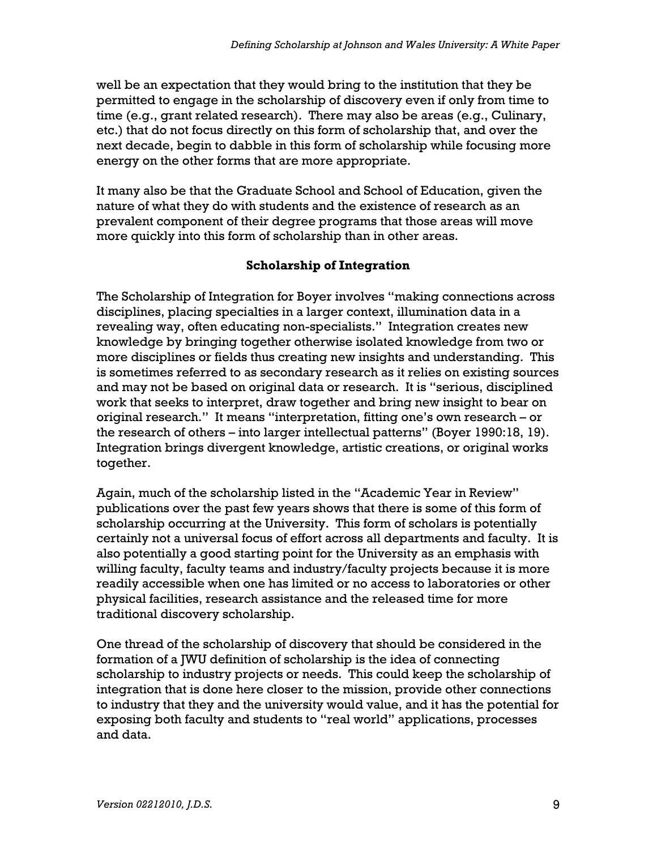well be an expectation that they would bring to the institution that they be permitted to engage in the scholarship of discovery even if only from time to time (e.g., grant related research). There may also be areas (e.g., Culinary, etc.) that do not focus directly on this form of scholarship that, and over the next decade, begin to dabble in this form of scholarship while focusing more energy on the other forms that are more appropriate.

It many also be that the Graduate School and School of Education, given the nature of what they do with students and the existence of research as an prevalent component of their degree programs that those areas will move more quickly into this form of scholarship than in other areas.

## Scholarship of Integration

The Scholarship of Integration for Boyer involves "making connections across disciplines, placing specialties in a larger context, illumination data in a revealing way, often educating non-specialists." Integration creates new knowledge by bringing together otherwise isolated knowledge from two or more disciplines or fields thus creating new insights and understanding. This is sometimes referred to as secondary research as it relies on existing sources and may not be based on original data or research. It is "serious, disciplined work that seeks to interpret, draw together and bring new insight to bear on original research." It means "interpretation, fitting one's own research – or the research of others – into larger intellectual patterns" (Boyer 1990:18, 19). Integration brings divergent knowledge, artistic creations, or original works together.

Again, much of the scholarship listed in the "Academic Year in Review" publications over the past few years shows that there is some of this form of scholarship occurring at the University. This form of scholars is potentially certainly not a universal focus of effort across all departments and faculty. It is also potentially a good starting point for the University as an emphasis with willing faculty, faculty teams and industry/faculty projects because it is more readily accessible when one has limited or no access to laboratories or other physical facilities, research assistance and the released time for more traditional discovery scholarship.

One thread of the scholarship of discovery that should be considered in the formation of a JWU definition of scholarship is the idea of connecting scholarship to industry projects or needs. This could keep the scholarship of integration that is done here closer to the mission, provide other connections to industry that they and the university would value, and it has the potential for exposing both faculty and students to "real world" applications, processes and data.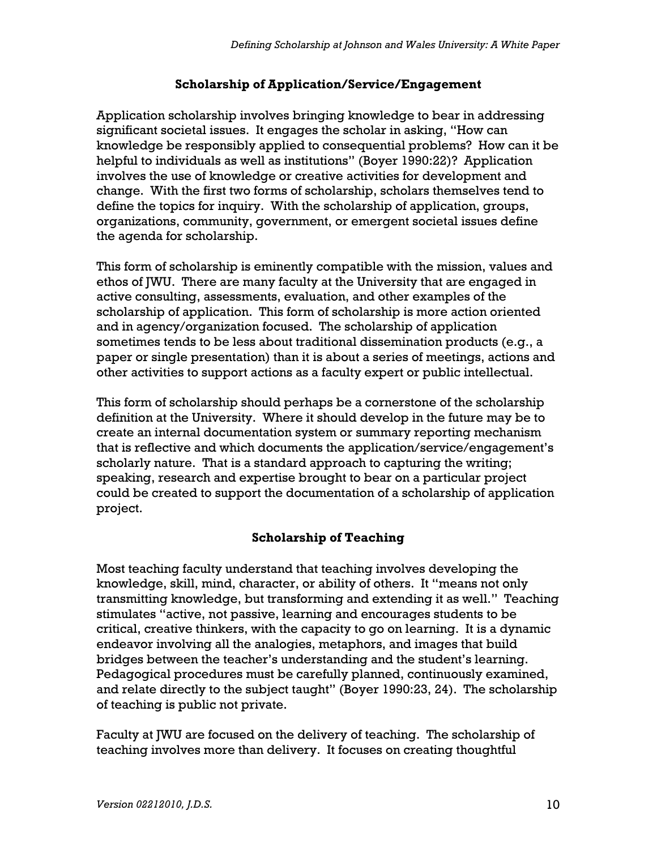## Scholarship of Application/Service/Engagement

Application scholarship involves bringing knowledge to bear in addressing significant societal issues. It engages the scholar in asking, "How can knowledge be responsibly applied to consequential problems? How can it be helpful to individuals as well as institutions" (Boyer 1990:22)? Application involves the use of knowledge or creative activities for development and change. With the first two forms of scholarship, scholars themselves tend to define the topics for inquiry. With the scholarship of application, groups, organizations, community, government, or emergent societal issues define the agenda for scholarship.

This form of scholarship is eminently compatible with the mission, values and ethos of JWU. There are many faculty at the University that are engaged in active consulting, assessments, evaluation, and other examples of the scholarship of application. This form of scholarship is more action oriented and in agency/organization focused. The scholarship of application sometimes tends to be less about traditional dissemination products (e.g., a paper or single presentation) than it is about a series of meetings, actions and other activities to support actions as a faculty expert or public intellectual.

This form of scholarship should perhaps be a cornerstone of the scholarship definition at the University. Where it should develop in the future may be to create an internal documentation system or summary reporting mechanism that is reflective and which documents the application/service/engagement's scholarly nature. That is a standard approach to capturing the writing; speaking, research and expertise brought to bear on a particular project could be created to support the documentation of a scholarship of application project.

# Scholarship of Teaching

Most teaching faculty understand that teaching involves developing the knowledge, skill, mind, character, or ability of others. It "means not only transmitting knowledge, but transforming and extending it as well." Teaching stimulates "active, not passive, learning and encourages students to be critical, creative thinkers, with the capacity to go on learning. It is a dynamic endeavor involving all the analogies, metaphors, and images that build bridges between the teacher's understanding and the student's learning. Pedagogical procedures must be carefully planned, continuously examined, and relate directly to the subject taught" (Boyer 1990:23, 24). The scholarship of teaching is public not private.

Faculty at JWU are focused on the delivery of teaching. The scholarship of teaching involves more than delivery. It focuses on creating thoughtful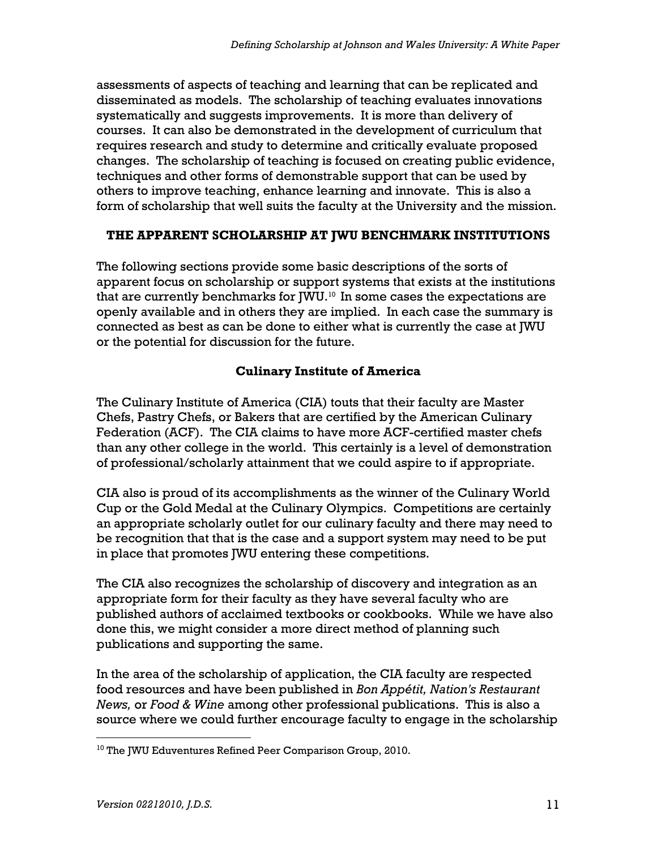assessments of aspects of teaching and learning that can be replicated and disseminated as models. The scholarship of teaching evaluates innovations systematically and suggests improvements. It is more than delivery of courses. It can also be demonstrated in the development of curriculum that requires research and study to determine and critically evaluate proposed changes. The scholarship of teaching is focused on creating public evidence, techniques and other forms of demonstrable support that can be used by others to improve teaching, enhance learning and innovate. This is also a form of scholarship that well suits the faculty at the University and the mission.

## THE APPARENT SCHOLARSHIP AT JWU BENCHMARK INSTITUTIONS

The following sections provide some basic descriptions of the sorts of apparent focus on scholarship or support systems that exists at the institutions that are currently benchmarks for JWU.<sup>10</sup> In some cases the expectations are openly available and in others they are implied. In each case the summary is connected as best as can be done to either what is currently the case at JWU or the potential for discussion for the future.

## Culinary Institute of America

The Culinary Institute of America (CIA) touts that their faculty are Master Chefs, Pastry Chefs, or Bakers that are certified by the American Culinary Federation (ACF). The CIA claims to have more ACF-certified master chefs than any other college in the world. This certainly is a level of demonstration of professional/scholarly attainment that we could aspire to if appropriate.

CIA also is proud of its accomplishments as the winner of the Culinary World Cup or the Gold Medal at the Culinary Olympics. Competitions are certainly an appropriate scholarly outlet for our culinary faculty and there may need to be recognition that that is the case and a support system may need to be put in place that promotes JWU entering these competitions.

The CIA also recognizes the scholarship of discovery and integration as an appropriate form for their faculty as they have several faculty who are published authors of acclaimed textbooks or cookbooks. While we have also done this, we might consider a more direct method of planning such publications and supporting the same.

In the area of the scholarship of application, the CIA faculty are respected food resources and have been published in Bon Appétit, Nation's Restaurant News, or Food & Wine among other professional publications. This is also a source where we could further encourage faculty to engage in the scholarship

 $\overline{a}$ <sup>10</sup> The JWU Eduventures Refined Peer Comparison Group, 2010.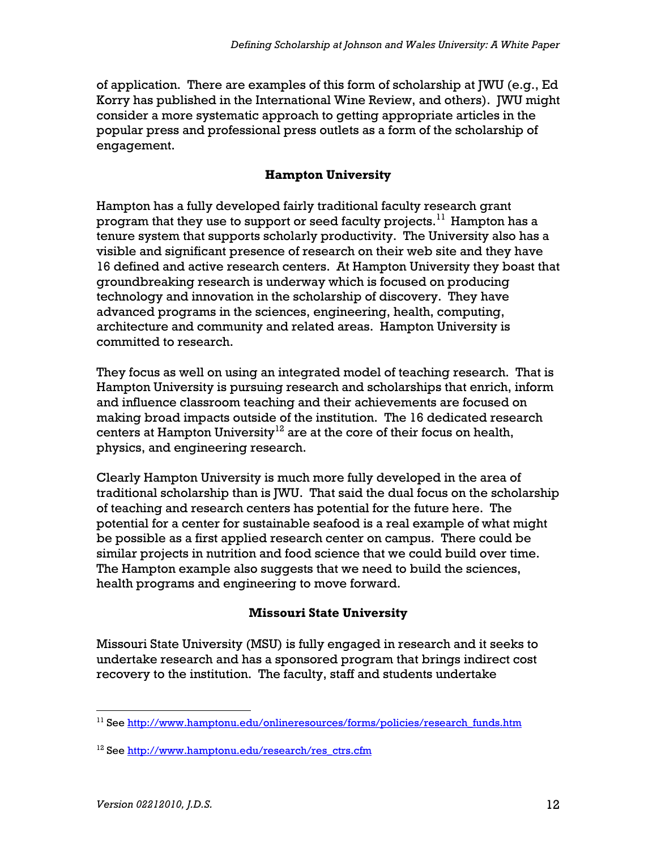of application. There are examples of this form of scholarship at JWU (e.g., Ed Korry has published in the International Wine Review, and others). JWU might consider a more systematic approach to getting appropriate articles in the popular press and professional press outlets as a form of the scholarship of engagement.

## Hampton University

Hampton has a fully developed fairly traditional faculty research grant program that they use to support or seed faculty projects.<sup>11</sup> Hampton has a tenure system that supports scholarly productivity. The University also has a visible and significant presence of research on their web site and they have 16 defined and active research centers. At Hampton University they boast that groundbreaking research is underway which is focused on producing technology and innovation in the scholarship of discovery. They have advanced programs in the sciences, engineering, health, computing, architecture and community and related areas. Hampton University is committed to research.

They focus as well on using an integrated model of teaching research. That is Hampton University is pursuing research and scholarships that enrich, inform and influence classroom teaching and their achievements are focused on making broad impacts outside of the institution. The 16 dedicated research centers at Hampton University<sup>12</sup> are at the core of their focus on health, physics, and engineering research.

Clearly Hampton University is much more fully developed in the area of traditional scholarship than is JWU. That said the dual focus on the scholarship of teaching and research centers has potential for the future here. The potential for a center for sustainable seafood is a real example of what might be possible as a first applied research center on campus. There could be similar projects in nutrition and food science that we could build over time. The Hampton example also suggests that we need to build the sciences, health programs and engineering to move forward.

## Missouri State University

Missouri State University (MSU) is fully engaged in research and it seeks to undertake research and has a sponsored program that brings indirect cost recovery to the institution. The faculty, staff and students undertake

 $\overline{a}$  $11$  See http://www.hamptonu.edu/onlineresources/forms/policies/research\_funds.htm

<sup>&</sup>lt;sup>12</sup> See http://www.hamptonu.edu/research/res\_ctrs.cfm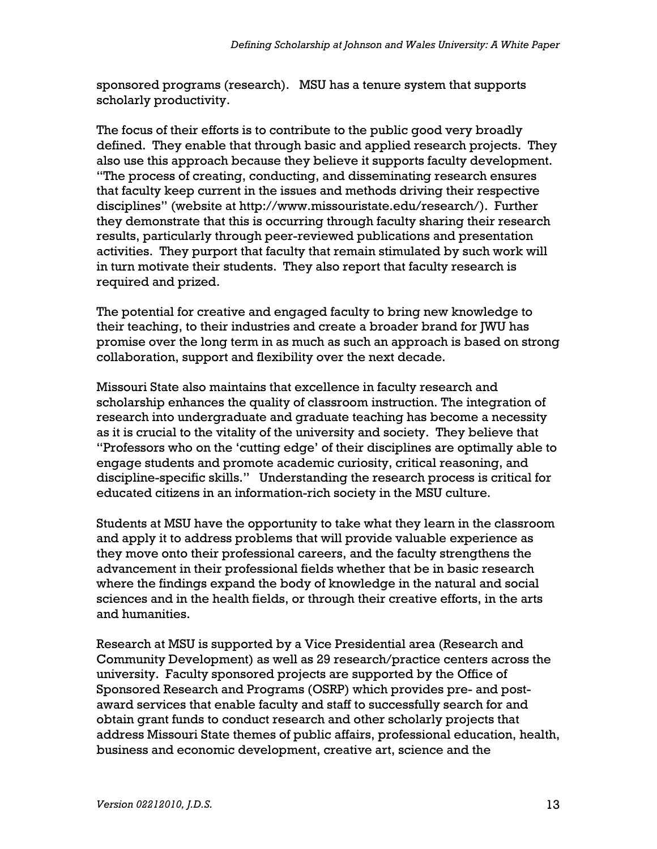sponsored programs (research). MSU has a tenure system that supports scholarly productivity.

The focus of their efforts is to contribute to the public good very broadly defined. They enable that through basic and applied research projects. They also use this approach because they believe it supports faculty development. "The process of creating, conducting, and disseminating research ensures that faculty keep current in the issues and methods driving their respective disciplines" (website at http://www.missouristate.edu/research/). Further they demonstrate that this is occurring through faculty sharing their research results, particularly through peer-reviewed publications and presentation activities. They purport that faculty that remain stimulated by such work will in turn motivate their students. They also report that faculty research is required and prized.

The potential for creative and engaged faculty to bring new knowledge to their teaching, to their industries and create a broader brand for JWU has promise over the long term in as much as such an approach is based on strong collaboration, support and flexibility over the next decade.

Missouri State also maintains that excellence in faculty research and scholarship enhances the quality of classroom instruction. The integration of research into undergraduate and graduate teaching has become a necessity as it is crucial to the vitality of the university and society. They believe that "Professors who on the 'cutting edge' of their disciplines are optimally able to engage students and promote academic curiosity, critical reasoning, and discipline-specific skills." Understanding the research process is critical for educated citizens in an information-rich society in the MSU culture.

Students at MSU have the opportunity to take what they learn in the classroom and apply it to address problems that will provide valuable experience as they move onto their professional careers, and the faculty strengthens the advancement in their professional fields whether that be in basic research where the findings expand the body of knowledge in the natural and social sciences and in the health fields, or through their creative efforts, in the arts and humanities.

Research at MSU is supported by a Vice Presidential area (Research and Community Development) as well as 29 research/practice centers across the university. Faculty sponsored projects are supported by the Office of Sponsored Research and Programs (OSRP) which provides pre- and postaward services that enable faculty and staff to successfully search for and obtain grant funds to conduct research and other scholarly projects that address Missouri State themes of public affairs, professional education, health, business and economic development, creative art, science and the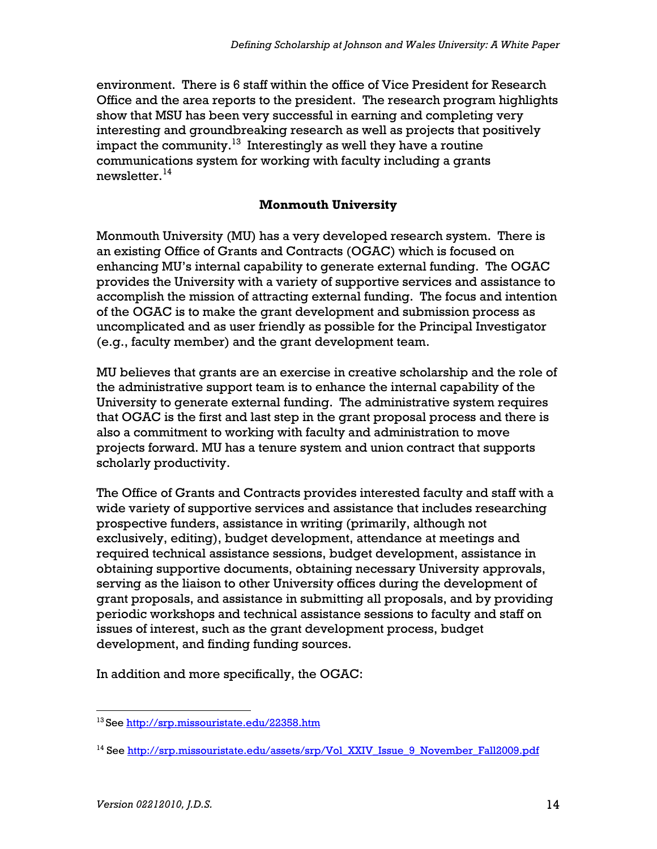environment. There is 6 staff within the office of Vice President for Research Office and the area reports to the president. The research program highlights show that MSU has been very successful in earning and completing very interesting and groundbreaking research as well as projects that positively impact the community.<sup>13</sup> Interestingly as well they have a routine communications system for working with faculty including a grants newsletter. $14$ 

#### Monmouth University

Monmouth University (MU) has a very developed research system. There is an existing Office of Grants and Contracts (OGAC) which is focused on enhancing MU's internal capability to generate external funding. The OGAC provides the University with a variety of supportive services and assistance to accomplish the mission of attracting external funding. The focus and intention of the OGAC is to make the grant development and submission process as uncomplicated and as user friendly as possible for the Principal Investigator (e.g., faculty member) and the grant development team.

MU believes that grants are an exercise in creative scholarship and the role of the administrative support team is to enhance the internal capability of the University to generate external funding. The administrative system requires that OGAC is the first and last step in the grant proposal process and there is also a commitment to working with faculty and administration to move projects forward. MU has a tenure system and union contract that supports scholarly productivity.

The Office of Grants and Contracts provides interested faculty and staff with a wide variety of supportive services and assistance that includes researching prospective funders, assistance in writing (primarily, although not exclusively, editing), budget development, attendance at meetings and required technical assistance sessions, budget development, assistance in obtaining supportive documents, obtaining necessary University approvals, serving as the liaison to other University offices during the development of grant proposals, and assistance in submitting all proposals, and by providing periodic workshops and technical assistance sessions to faculty and staff on issues of interest, such as the grant development process, budget development, and finding funding sources.

In addition and more specifically, the OGAC:

 $\overline{a}$ 

<sup>&</sup>lt;sup>13</sup>See http://srp.missouristate.edu/22358.htm

<sup>&</sup>lt;sup>14</sup> See http://srp.missouristate.edu/assets/srp/Vol\_XXIV\_Issue\_9\_November\_Fall2009.pdf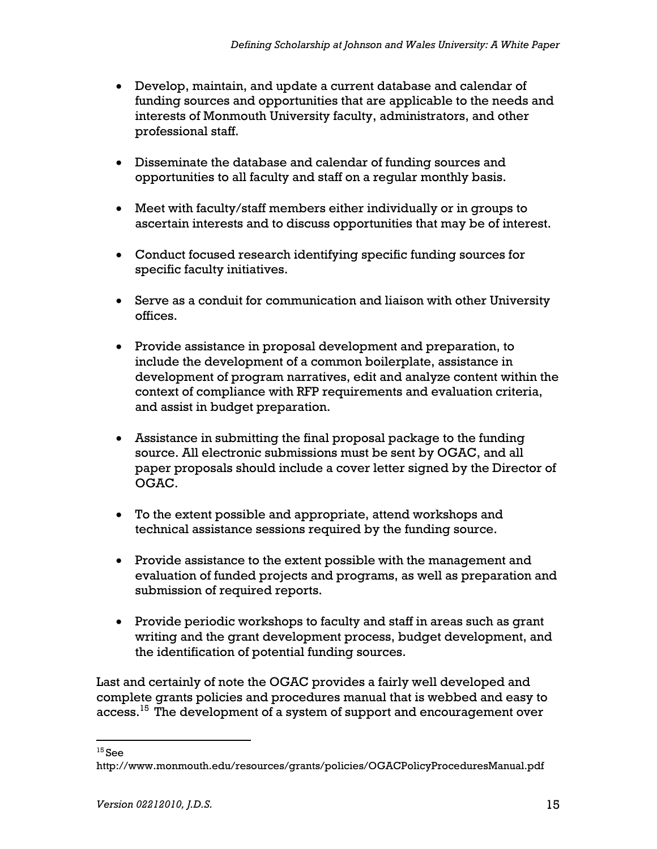- Develop, maintain, and update a current database and calendar of funding sources and opportunities that are applicable to the needs and interests of Monmouth University faculty, administrators, and other professional staff.
- Disseminate the database and calendar of funding sources and opportunities to all faculty and staff on a regular monthly basis.
- Meet with faculty/staff members either individually or in groups to ascertain interests and to discuss opportunities that may be of interest.
- Conduct focused research identifying specific funding sources for specific faculty initiatives.
- Serve as a conduit for communication and liaison with other University offices.
- Provide assistance in proposal development and preparation, to include the development of a common boilerplate, assistance in development of program narratives, edit and analyze content within the context of compliance with RFP requirements and evaluation criteria, and assist in budget preparation.
- Assistance in submitting the final proposal package to the funding source. All electronic submissions must be sent by OGAC, and all paper proposals should include a cover letter signed by the Director of OGAC.
- To the extent possible and appropriate, attend workshops and technical assistance sessions required by the funding source.
- Provide assistance to the extent possible with the management and evaluation of funded projects and programs, as well as preparation and submission of required reports.
- Provide periodic workshops to faculty and staff in areas such as grant writing and the grant development process, budget development, and the identification of potential funding sources.

Last and certainly of note the OGAC provides a fairly well developed and complete grants policies and procedures manual that is webbed and easy to access.<sup>15</sup> The development of a system of support and encouragement over

 $\overline{a}$  $^{15}$ See

http://www.monmouth.edu/resources/grants/policies/OGACPolicyProceduresManual.pdf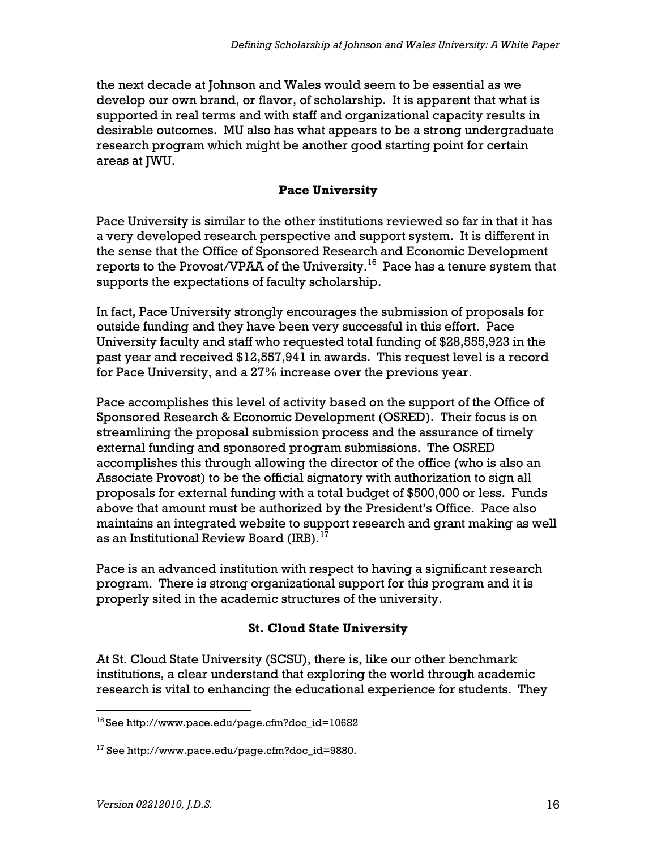the next decade at Johnson and Wales would seem to be essential as we develop our own brand, or flavor, of scholarship. It is apparent that what is supported in real terms and with staff and organizational capacity results in desirable outcomes. MU also has what appears to be a strong undergraduate research program which might be another good starting point for certain areas at JWU.

#### Pace University

Pace University is similar to the other institutions reviewed so far in that it has a very developed research perspective and support system. It is different in the sense that the Office of Sponsored Research and Economic Development reports to the Provost/VPAA of the University.<sup>16</sup> Pace has a tenure system that supports the expectations of faculty scholarship.

In fact, Pace University strongly encourages the submission of proposals for outside funding and they have been very successful in this effort. Pace University faculty and staff who requested total funding of \$28,555,923 in the past year and received \$12,557,941 in awards. This request level is a record for Pace University, and a 27% increase over the previous year.

Pace accomplishes this level of activity based on the support of the Office of Sponsored Research & Economic Development (OSRED). Their focus is on streamlining the proposal submission process and the assurance of timely external funding and sponsored program submissions. The OSRED accomplishes this through allowing the director of the office (who is also an Associate Provost) to be the official signatory with authorization to sign all proposals for external funding with a total budget of \$500,000 or less. Funds above that amount must be authorized by the President's Office. Pace also maintains an integrated website to support research and grant making as well as an Institutional Review Board (IRB).<sup>17</sup>

Pace is an advanced institution with respect to having a significant research program. There is strong organizational support for this program and it is properly sited in the academic structures of the university.

# St. Cloud State University

At St. Cloud State University (SCSU), there is, like our other benchmark institutions, a clear understand that exploring the world through academic research is vital to enhancing the educational experience for students. They

<sup>-</sup><sup>16</sup>See http://www.pace.edu/page.cfm?doc\_id=10682

 $17$  See http://www.pace.edu/page.cfm?doc\_id=9880.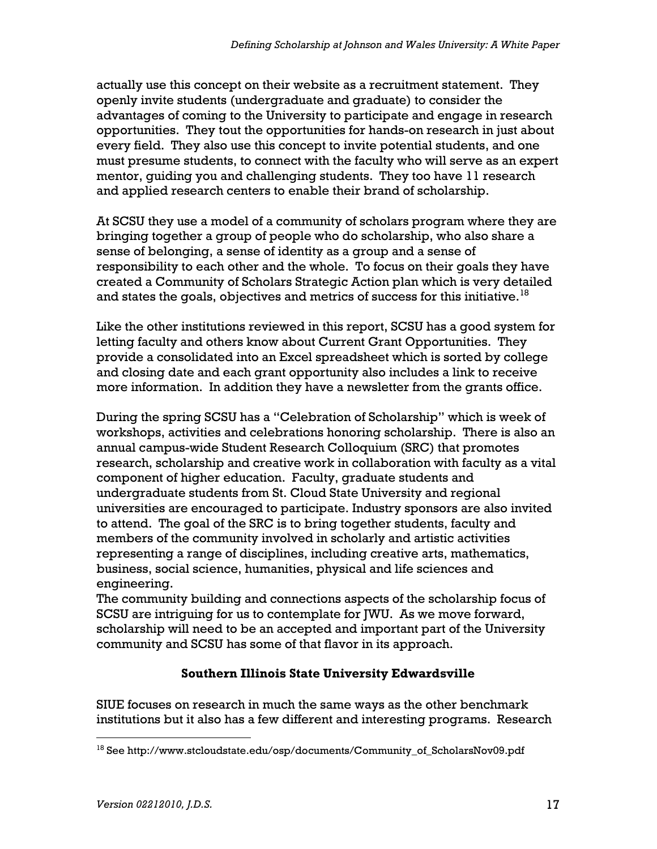actually use this concept on their website as a recruitment statement. They openly invite students (undergraduate and graduate) to consider the advantages of coming to the University to participate and engage in research opportunities. They tout the opportunities for hands-on research in just about every field. They also use this concept to invite potential students, and one must presume students, to connect with the faculty who will serve as an expert mentor, guiding you and challenging students. They too have 11 research and applied research centers to enable their brand of scholarship.

At SCSU they use a model of a community of scholars program where they are bringing together a group of people who do scholarship, who also share a sense of belonging, a sense of identity as a group and a sense of responsibility to each other and the whole. To focus on their goals they have created a Community of Scholars Strategic Action plan which is very detailed and states the goals, objectives and metrics of success for this initiative. $^{18}$ 

Like the other institutions reviewed in this report, SCSU has a good system for letting faculty and others know about Current Grant Opportunities. They provide a consolidated into an Excel spreadsheet which is sorted by college and closing date and each grant opportunity also includes a link to receive more information. In addition they have a newsletter from the grants office.

During the spring SCSU has a "Celebration of Scholarship" which is week of workshops, activities and celebrations honoring scholarship. There is also an annual campus-wide Student Research Colloquium (SRC) that promotes research, scholarship and creative work in collaboration with faculty as a vital component of higher education. Faculty, graduate students and undergraduate students from St. Cloud State University and regional universities are encouraged to participate. Industry sponsors are also invited to attend. The goal of the SRC is to bring together students, faculty and members of the community involved in scholarly and artistic activities representing a range of disciplines, including creative arts, mathematics, business, social science, humanities, physical and life sciences and engineering.

The community building and connections aspects of the scholarship focus of SCSU are intriguing for us to contemplate for JWU. As we move forward, scholarship will need to be an accepted and important part of the University community and SCSU has some of that flavor in its approach.

## Southern Illinois State University Edwardsville

SIUE focuses on research in much the same ways as the other benchmark institutions but it also has a few different and interesting programs. Research

 $\overline{a}$  $18$  See http://www.stcloudstate.edu/osp/documents/Community of ScholarsNov09.pdf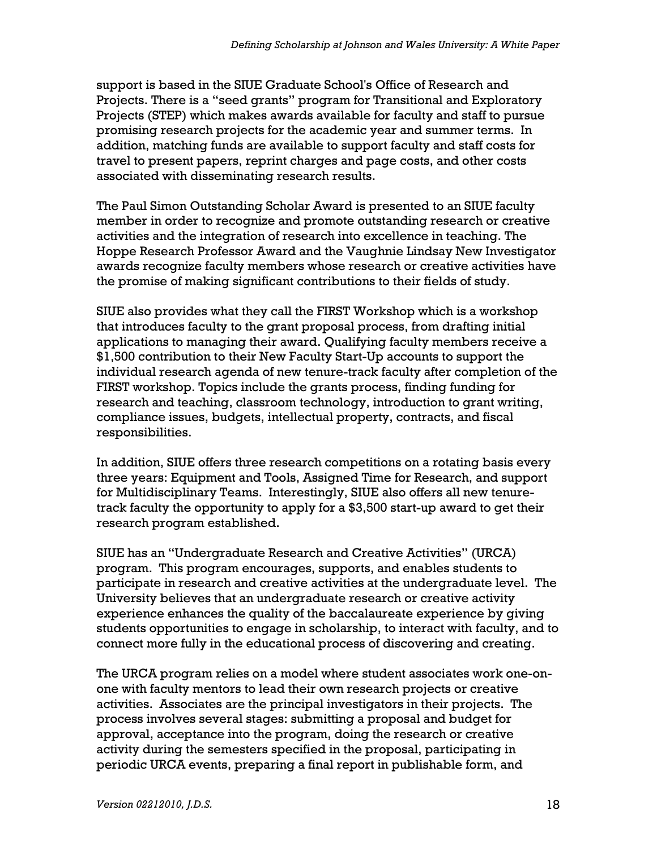support is based in the SIUE Graduate School's Office of Research and Projects. There is a "seed grants" program for Transitional and Exploratory Projects (STEP) which makes awards available for faculty and staff to pursue promising research projects for the academic year and summer terms. In addition, matching funds are available to support faculty and staff costs for travel to present papers, reprint charges and page costs, and other costs associated with disseminating research results.

The Paul Simon Outstanding Scholar Award is presented to an SIUE faculty member in order to recognize and promote outstanding research or creative activities and the integration of research into excellence in teaching. The Hoppe Research Professor Award and the Vaughnie Lindsay New Investigator awards recognize faculty members whose research or creative activities have the promise of making significant contributions to their fields of study.

SIUE also provides what they call the FIRST Workshop which is a workshop that introduces faculty to the grant proposal process, from drafting initial applications to managing their award. Qualifying faculty members receive a \$1,500 contribution to their New Faculty Start-Up accounts to support the individual research agenda of new tenure-track faculty after completion of the FIRST workshop. Topics include the grants process, finding funding for research and teaching, classroom technology, introduction to grant writing, compliance issues, budgets, intellectual property, contracts, and fiscal responsibilities.

In addition, SIUE offers three research competitions on a rotating basis every three years: Equipment and Tools, Assigned Time for Research, and support for Multidisciplinary Teams. Interestingly, SIUE also offers all new tenuretrack faculty the opportunity to apply for a \$3,500 start-up award to get their research program established.

SIUE has an "Undergraduate Research and Creative Activities" (URCA) program. This program encourages, supports, and enables students to participate in research and creative activities at the undergraduate level. The University believes that an undergraduate research or creative activity experience enhances the quality of the baccalaureate experience by giving students opportunities to engage in scholarship, to interact with faculty, and to connect more fully in the educational process of discovering and creating.

The URCA program relies on a model where student associates work one-onone with faculty mentors to lead their own research projects or creative activities. Associates are the principal investigators in their projects. The process involves several stages: submitting a proposal and budget for approval, acceptance into the program, doing the research or creative activity during the semesters specified in the proposal, participating in periodic URCA events, preparing a final report in publishable form, and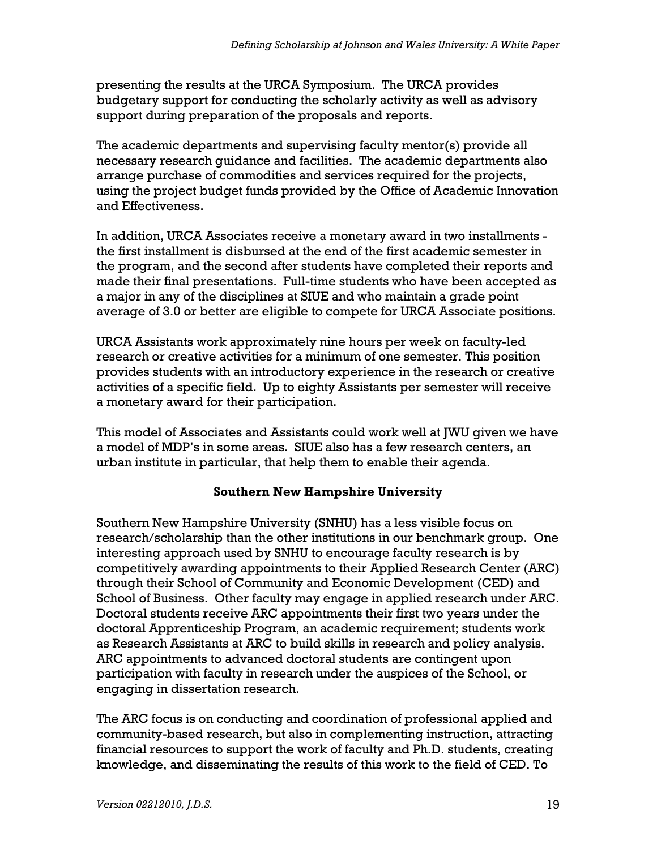presenting the results at the URCA Symposium. The URCA provides budgetary support for conducting the scholarly activity as well as advisory support during preparation of the proposals and reports.

The academic departments and supervising faculty mentor(s) provide all necessary research guidance and facilities. The academic departments also arrange purchase of commodities and services required for the projects, using the project budget funds provided by the Office of Academic Innovation and Effectiveness.

In addition, URCA Associates receive a monetary award in two installments the first installment is disbursed at the end of the first academic semester in the program, and the second after students have completed their reports and made their final presentations. Full-time students who have been accepted as a major in any of the disciplines at SIUE and who maintain a grade point average of 3.0 or better are eligible to compete for URCA Associate positions.

URCA Assistants work approximately nine hours per week on faculty-led research or creative activities for a minimum of one semester. This position provides students with an introductory experience in the research or creative activities of a specific field. Up to eighty Assistants per semester will receive a monetary award for their participation.

This model of Associates and Assistants could work well at JWU given we have a model of MDP's in some areas. SIUE also has a few research centers, an urban institute in particular, that help them to enable their agenda.

#### Southern New Hampshire University

Southern New Hampshire University (SNHU) has a less visible focus on research/scholarship than the other institutions in our benchmark group. One interesting approach used by SNHU to encourage faculty research is by competitively awarding appointments to their Applied Research Center (ARC) through their School of Community and Economic Development (CED) and School of Business. Other faculty may engage in applied research under ARC. Doctoral students receive ARC appointments their first two years under the doctoral Apprenticeship Program, an academic requirement; students work as Research Assistants at ARC to build skills in research and policy analysis. ARC appointments to advanced doctoral students are contingent upon participation with faculty in research under the auspices of the School, or engaging in dissertation research.

The ARC focus is on conducting and coordination of professional applied and community-based research, but also in complementing instruction, attracting financial resources to support the work of faculty and Ph.D. students, creating knowledge, and disseminating the results of this work to the field of CED. To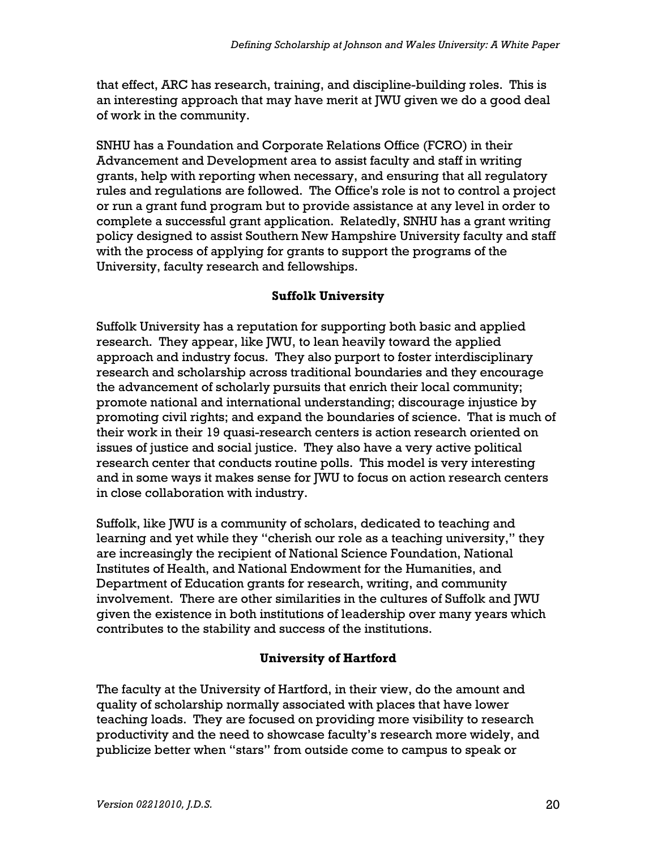that effect, ARC has research, training, and discipline-building roles. This is an interesting approach that may have merit at JWU given we do a good deal of work in the community.

SNHU has a Foundation and Corporate Relations Office (FCRO) in their Advancement and Development area to assist faculty and staff in writing grants, help with reporting when necessary, and ensuring that all regulatory rules and regulations are followed. The Office's role is not to control a project or run a grant fund program but to provide assistance at any level in order to complete a successful grant application. Relatedly, SNHU has a grant writing policy designed to assist Southern New Hampshire University faculty and staff with the process of applying for grants to support the programs of the University, faculty research and fellowships.

#### Suffolk University

Suffolk University has a reputation for supporting both basic and applied research. They appear, like JWU, to lean heavily toward the applied approach and industry focus. They also purport to foster interdisciplinary research and scholarship across traditional boundaries and they encourage the advancement of scholarly pursuits that enrich their local community; promote national and international understanding; discourage injustice by promoting civil rights; and expand the boundaries of science. That is much of their work in their 19 quasi-research centers is action research oriented on issues of justice and social justice. They also have a very active political research center that conducts routine polls. This model is very interesting and in some ways it makes sense for JWU to focus on action research centers in close collaboration with industry.

Suffolk, like JWU is a community of scholars, dedicated to teaching and learning and yet while they "cherish our role as a teaching university," they are increasingly the recipient of National Science Foundation, National Institutes of Health, and National Endowment for the Humanities, and Department of Education grants for research, writing, and community involvement. There are other similarities in the cultures of Suffolk and JWU given the existence in both institutions of leadership over many years which contributes to the stability and success of the institutions.

## University of Hartford

The faculty at the University of Hartford, in their view, do the amount and quality of scholarship normally associated with places that have lower teaching loads. They are focused on providing more visibility to research productivity and the need to showcase faculty's research more widely, and publicize better when "stars" from outside come to campus to speak or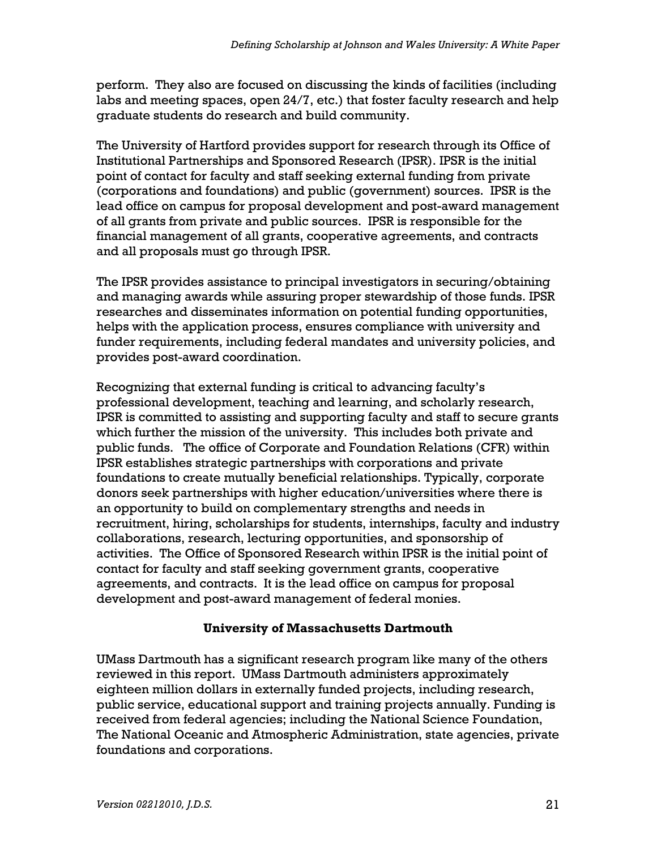perform. They also are focused on discussing the kinds of facilities (including labs and meeting spaces, open 24/7, etc.) that foster faculty research and help graduate students do research and build community.

The University of Hartford provides support for research through its Office of Institutional Partnerships and Sponsored Research (IPSR). IPSR is the initial point of contact for faculty and staff seeking external funding from private (corporations and foundations) and public (government) sources. IPSR is the lead office on campus for proposal development and post-award management of all grants from private and public sources. IPSR is responsible for the financial management of all grants, cooperative agreements, and contracts and all proposals must go through IPSR.

The IPSR provides assistance to principal investigators in securing/obtaining and managing awards while assuring proper stewardship of those funds. IPSR researches and disseminates information on potential funding opportunities, helps with the application process, ensures compliance with university and funder requirements, including federal mandates and university policies, and provides post-award coordination.

Recognizing that external funding is critical to advancing faculty's professional development, teaching and learning, and scholarly research, IPSR is committed to assisting and supporting faculty and staff to secure grants which further the mission of the university. This includes both private and public funds. The office of Corporate and Foundation Relations (CFR) within IPSR establishes strategic partnerships with corporations and private foundations to create mutually beneficial relationships. Typically, corporate donors seek partnerships with higher education/universities where there is an opportunity to build on complementary strengths and needs in recruitment, hiring, scholarships for students, internships, faculty and industry collaborations, research, lecturing opportunities, and sponsorship of activities. The Office of Sponsored Research within IPSR is the initial point of contact for faculty and staff seeking government grants, cooperative agreements, and contracts. It is the lead office on campus for proposal development and post-award management of federal monies.

#### University of Massachusetts Dartmouth

UMass Dartmouth has a significant research program like many of the others reviewed in this report. UMass Dartmouth administers approximately eighteen million dollars in externally funded projects, including research, public service, educational support and training projects annually. Funding is received from federal agencies; including the National Science Foundation, The National Oceanic and Atmospheric Administration, state agencies, private foundations and corporations.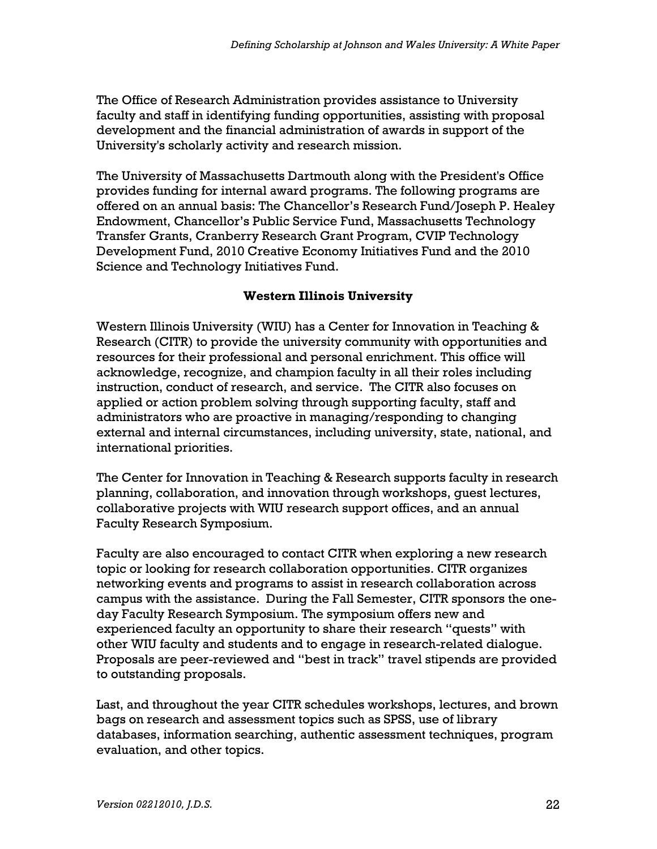The Office of Research Administration provides assistance to University faculty and staff in identifying funding opportunities, assisting with proposal development and the financial administration of awards in support of the University's scholarly activity and research mission.

The University of Massachusetts Dartmouth along with the President's Office provides funding for internal award programs. The following programs are offered on an annual basis: The Chancellor's Research Fund/Joseph P. Healey Endowment, Chancellor's Public Service Fund, Massachusetts Technology Transfer Grants, Cranberry Research Grant Program, CVIP Technology Development Fund, 2010 Creative Economy Initiatives Fund and the 2010 Science and Technology Initiatives Fund.

#### Western Illinois University

Western Illinois University (WIU) has a Center for Innovation in Teaching & Research (CITR) to provide the university community with opportunities and resources for their professional and personal enrichment. This office will acknowledge, recognize, and champion faculty in all their roles including instruction, conduct of research, and service. The CITR also focuses on applied or action problem solving through supporting faculty, staff and administrators who are proactive in managing/responding to changing external and internal circumstances, including university, state, national, and international priorities.

The Center for Innovation in Teaching & Research supports faculty in research planning, collaboration, and innovation through workshops, guest lectures, collaborative projects with WIU research support offices, and an annual Faculty Research Symposium.

Faculty are also encouraged to contact CITR when exploring a new research topic or looking for research collaboration opportunities. CITR organizes networking events and programs to assist in research collaboration across campus with the assistance. During the Fall Semester, CITR sponsors the oneday Faculty Research Symposium. The symposium offers new and experienced faculty an opportunity to share their research "quests" with other WIU faculty and students and to engage in research-related dialogue. Proposals are peer-reviewed and "best in track" travel stipends are provided to outstanding proposals.

Last, and throughout the year CITR schedules workshops, lectures, and brown bags on research and assessment topics such as SPSS, use of library databases, information searching, authentic assessment techniques, program evaluation, and other topics.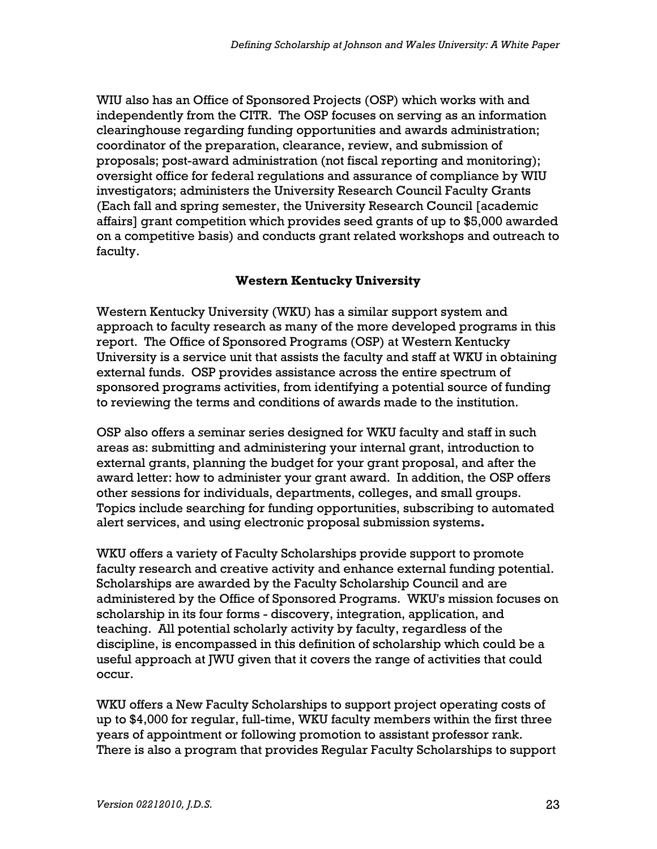WIU also has an Office of Sponsored Projects (OSP) which works with and independently from the CITR. The OSP focuses on serving as an information clearinghouse regarding funding opportunities and awards administration; coordinator of the preparation, clearance, review, and submission of proposals; post-award administration (not fiscal reporting and monitoring); oversight office for federal regulations and assurance of compliance by WIU investigators; administers the University Research Council Faculty Grants (Each fall and spring semester, the University Research Council [academic affairs] grant competition which provides seed grants of up to \$5,000 awarded on a competitive basis) and conducts grant related workshops and outreach to faculty.

#### Western Kentucky University

Western Kentucky University (WKU) has a similar support system and approach to faculty research as many of the more developed programs in this report. The Office of Sponsored Programs (OSP) at Western Kentucky University is a service unit that assists the faculty and staff at WKU in obtaining external funds. OSP provides assistance across the entire spectrum of sponsored programs activities, from identifying a potential source of funding to reviewing the terms and conditions of awards made to the institution.

OSP also offers a seminar series designed for WKU faculty and staff in such areas as: submitting and administering your internal grant, introduction to external grants, planning the budget for your grant proposal, and after the award letter: how to administer your grant award. In addition, the OSP offers other sessions for individuals, departments, colleges, and small groups. Topics include searching for funding opportunities, subscribing to automated alert services, and using electronic proposal submission systems.

WKU offers a variety of Faculty Scholarships provide support to promote faculty research and creative activity and enhance external funding potential. Scholarships are awarded by the Faculty Scholarship Council and are administered by the Office of Sponsored Programs. WKU's mission focuses on scholarship in its four forms - discovery, integration, application, and teaching. All potential scholarly activity by faculty, regardless of the discipline, is encompassed in this definition of scholarship which could be a useful approach at JWU given that it covers the range of activities that could occur.

WKU offers a New Faculty Scholarships to support project operating costs of up to \$4,000 for regular, full-time, WKU faculty members within the first three years of appointment or following promotion to assistant professor rank. There is also a program that provides Regular Faculty Scholarships to support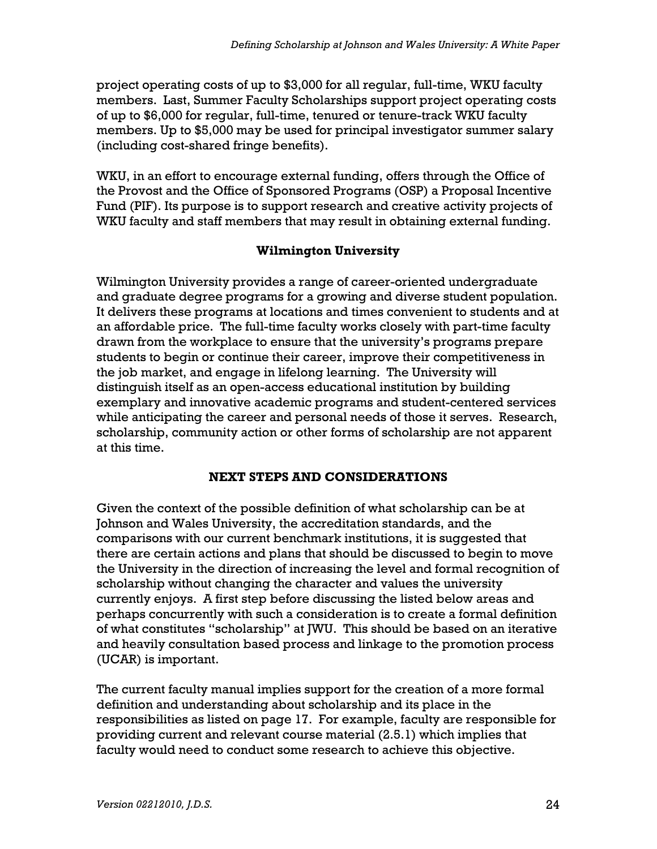project operating costs of up to \$3,000 for all regular, full-time, WKU faculty members. Last, Summer Faculty Scholarships support project operating costs of up to \$6,000 for regular, full-time, tenured or tenure-track WKU faculty members. Up to \$5,000 may be used for principal investigator summer salary (including cost-shared fringe benefits).

WKU, in an effort to encourage external funding, offers through the Office of the Provost and the Office of Sponsored Programs (OSP) a Proposal Incentive Fund (PIF). Its purpose is to support research and creative activity projects of WKU faculty and staff members that may result in obtaining external funding.

## Wilmington University

Wilmington University provides a range of career-oriented undergraduate and graduate degree programs for a growing and diverse student population. It delivers these programs at locations and times convenient to students and at an affordable price. The full-time faculty works closely with part-time faculty drawn from the workplace to ensure that the university's programs prepare students to begin or continue their career, improve their competitiveness in the job market, and engage in lifelong learning. The University will distinguish itself as an open-access educational institution by building exemplary and innovative academic programs and student-centered services while anticipating the career and personal needs of those it serves. Research, scholarship, community action or other forms of scholarship are not apparent at this time.

## NEXT STEPS AND CONSIDERATIONS

Given the context of the possible definition of what scholarship can be at Johnson and Wales University, the accreditation standards, and the comparisons with our current benchmark institutions, it is suggested that there are certain actions and plans that should be discussed to begin to move the University in the direction of increasing the level and formal recognition of scholarship without changing the character and values the university currently enjoys. A first step before discussing the listed below areas and perhaps concurrently with such a consideration is to create a formal definition of what constitutes "scholarship" at JWU. This should be based on an iterative and heavily consultation based process and linkage to the promotion process (UCAR) is important.

The current faculty manual implies support for the creation of a more formal definition and understanding about scholarship and its place in the responsibilities as listed on page 17. For example, faculty are responsible for providing current and relevant course material (2.5.1) which implies that faculty would need to conduct some research to achieve this objective.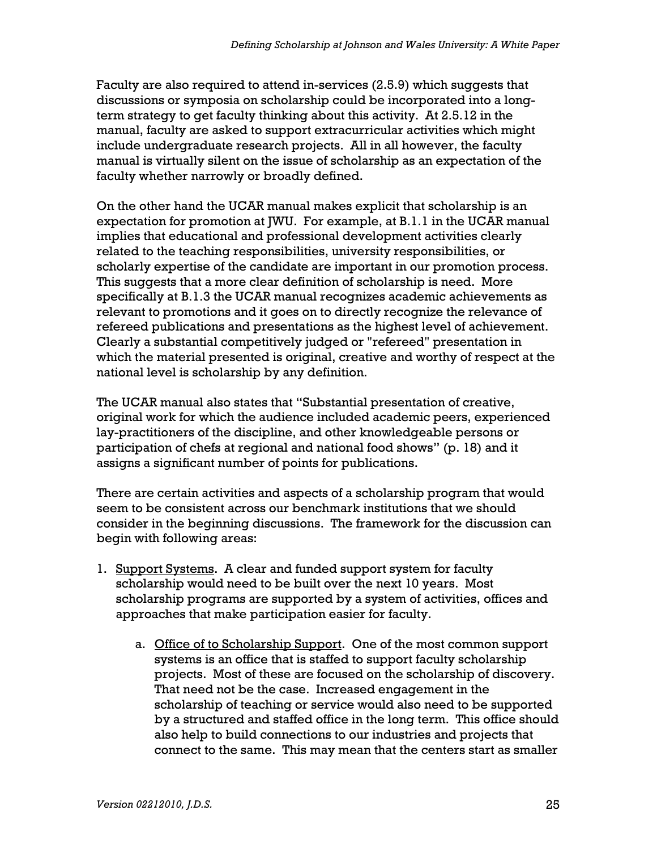Faculty are also required to attend in-services (2.5.9) which suggests that discussions or symposia on scholarship could be incorporated into a longterm strategy to get faculty thinking about this activity. At 2.5.12 in the manual, faculty are asked to support extracurricular activities which might include undergraduate research projects. All in all however, the faculty manual is virtually silent on the issue of scholarship as an expectation of the faculty whether narrowly or broadly defined.

On the other hand the UCAR manual makes explicit that scholarship is an expectation for promotion at JWU. For example, at B.1.1 in the UCAR manual implies that educational and professional development activities clearly related to the teaching responsibilities, university responsibilities, or scholarly expertise of the candidate are important in our promotion process. This suggests that a more clear definition of scholarship is need. More specifically at B.1.3 the UCAR manual recognizes academic achievements as relevant to promotions and it goes on to directly recognize the relevance of refereed publications and presentations as the highest level of achievement. Clearly a substantial competitively judged or "refereed" presentation in which the material presented is original, creative and worthy of respect at the national level is scholarship by any definition.

The UCAR manual also states that "Substantial presentation of creative, original work for which the audience included academic peers, experienced lay-practitioners of the discipline, and other knowledgeable persons or participation of chefs at regional and national food shows" (p. 18) and it assigns a significant number of points for publications.

There are certain activities and aspects of a scholarship program that would seem to be consistent across our benchmark institutions that we should consider in the beginning discussions. The framework for the discussion can begin with following areas:

- 1. Support Systems. A clear and funded support system for faculty scholarship would need to be built over the next 10 years. Most scholarship programs are supported by a system of activities, offices and approaches that make participation easier for faculty.
	- a. Office of to Scholarship Support. One of the most common support systems is an office that is staffed to support faculty scholarship projects. Most of these are focused on the scholarship of discovery. That need not be the case. Increased engagement in the scholarship of teaching or service would also need to be supported by a structured and staffed office in the long term. This office should also help to build connections to our industries and projects that connect to the same. This may mean that the centers start as smaller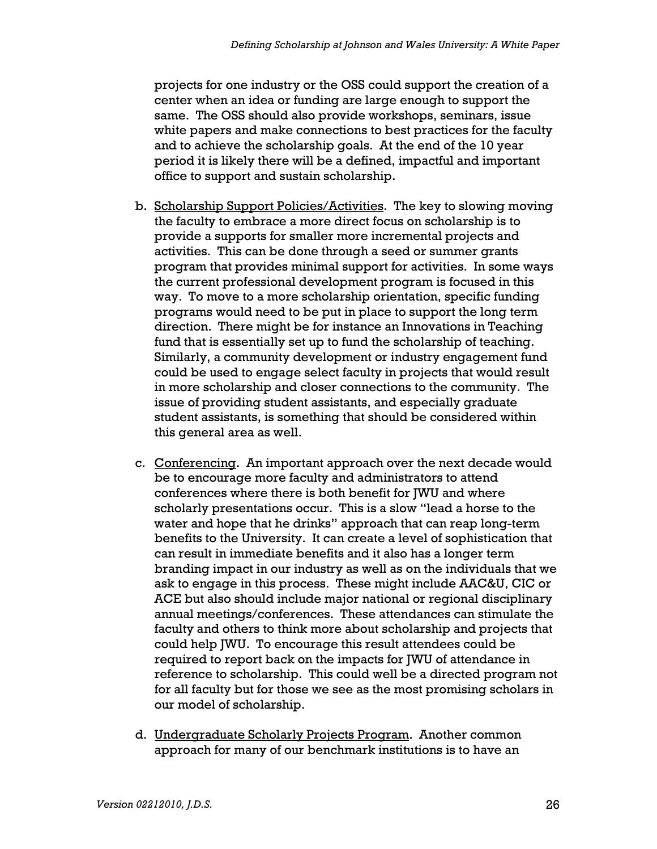projects for one industry or the OSS could support the creation of a center when an idea or funding are large enough to support the same. The OSS should also provide workshops, seminars, issue white papers and make connections to best practices for the faculty and to achieve the scholarship goals. At the end of the 10 year period it is likely there will be a defined, impactful and important office to support and sustain scholarship.

- b. Scholarship Support Policies/Activities. The key to slowing moving the faculty to embrace a more direct focus on scholarship is to provide a supports for smaller more incremental projects and activities. This can be done through a seed or summer grants program that provides minimal support for activities. In some ways the current professional development program is focused in this way. To move to a more scholarship orientation, specific funding programs would need to be put in place to support the long term direction. There might be for instance an Innovations in Teaching fund that is essentially set up to fund the scholarship of teaching. Similarly, a community development or industry engagement fund could be used to engage select faculty in projects that would result in more scholarship and closer connections to the community. The issue of providing student assistants, and especially graduate student assistants, is something that should be considered within this general area as well.
- c. Conferencing. An important approach over the next decade would be to encourage more faculty and administrators to attend conferences where there is both benefit for JWU and where scholarly presentations occur. This is a slow "lead a horse to the water and hope that he drinks" approach that can reap long-term benefits to the University. It can create a level of sophistication that can result in immediate benefits and it also has a longer term branding impact in our industry as well as on the individuals that we ask to engage in this process. These might include AAC&U, CIC or ACE but also should include major national or regional disciplinary annual meetings/conferences. These attendances can stimulate the faculty and others to think more about scholarship and projects that could help JWU. To encourage this result attendees could be required to report back on the impacts for JWU of attendance in reference to scholarship. This could well be a directed program not for all faculty but for those we see as the most promising scholars in our model of scholarship.
- d. Undergraduate Scholarly Projects Program. Another common approach for many of our benchmark institutions is to have an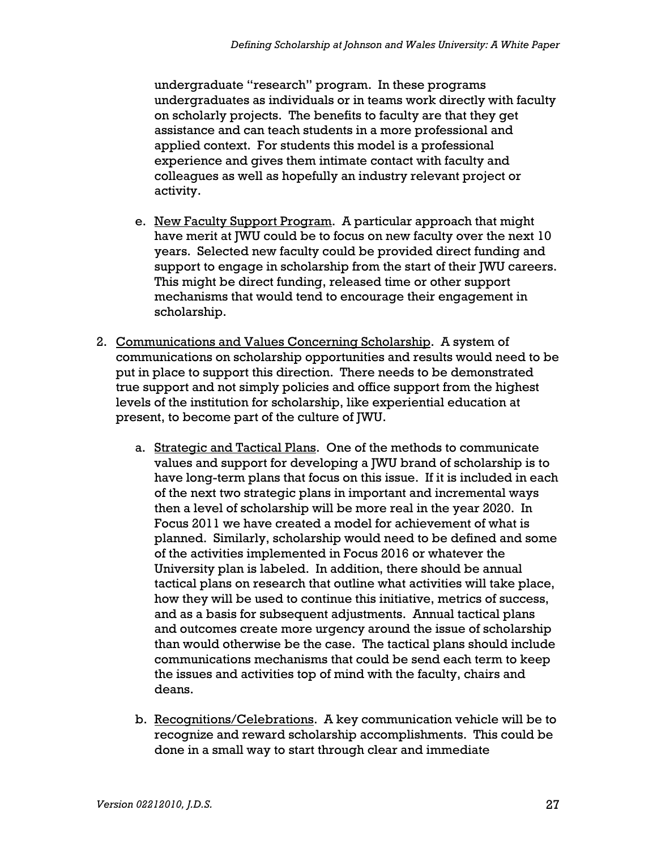undergraduate "research" program. In these programs undergraduates as individuals or in teams work directly with faculty on scholarly projects. The benefits to faculty are that they get assistance and can teach students in a more professional and applied context. For students this model is a professional experience and gives them intimate contact with faculty and colleagues as well as hopefully an industry relevant project or activity.

- e. New Faculty Support Program. A particular approach that might have merit at JWU could be to focus on new faculty over the next 10 years. Selected new faculty could be provided direct funding and support to engage in scholarship from the start of their JWU careers. This might be direct funding, released time or other support mechanisms that would tend to encourage their engagement in scholarship.
- 2. Communications and Values Concerning Scholarship. A system of communications on scholarship opportunities and results would need to be put in place to support this direction. There needs to be demonstrated true support and not simply policies and office support from the highest levels of the institution for scholarship, like experiential education at present, to become part of the culture of JWU.
	- a. Strategic and Tactical Plans. One of the methods to communicate values and support for developing a JWU brand of scholarship is to have long-term plans that focus on this issue. If it is included in each of the next two strategic plans in important and incremental ways then a level of scholarship will be more real in the year 2020. In Focus 2011 we have created a model for achievement of what is planned. Similarly, scholarship would need to be defined and some of the activities implemented in Focus 2016 or whatever the University plan is labeled. In addition, there should be annual tactical plans on research that outline what activities will take place, how they will be used to continue this initiative, metrics of success, and as a basis for subsequent adjustments. Annual tactical plans and outcomes create more urgency around the issue of scholarship than would otherwise be the case. The tactical plans should include communications mechanisms that could be send each term to keep the issues and activities top of mind with the faculty, chairs and deans.
	- b. Recognitions/Celebrations. A key communication vehicle will be to recognize and reward scholarship accomplishments. This could be done in a small way to start through clear and immediate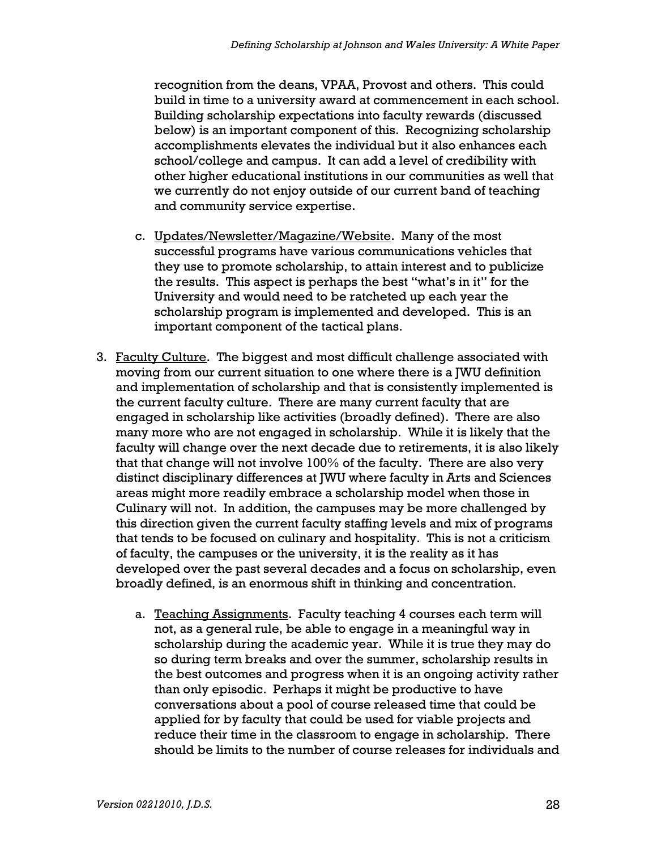recognition from the deans, VPAA, Provost and others. This could build in time to a university award at commencement in each school. Building scholarship expectations into faculty rewards (discussed below) is an important component of this. Recognizing scholarship accomplishments elevates the individual but it also enhances each school/college and campus. It can add a level of credibility with other higher educational institutions in our communities as well that we currently do not enjoy outside of our current band of teaching and community service expertise.

- c. Updates/Newsletter/Magazine/Website. Many of the most successful programs have various communications vehicles that they use to promote scholarship, to attain interest and to publicize the results. This aspect is perhaps the best "what's in it" for the University and would need to be ratcheted up each year the scholarship program is implemented and developed. This is an important component of the tactical plans.
- 3. Faculty Culture. The biggest and most difficult challenge associated with moving from our current situation to one where there is a JWU definition and implementation of scholarship and that is consistently implemented is the current faculty culture. There are many current faculty that are engaged in scholarship like activities (broadly defined). There are also many more who are not engaged in scholarship. While it is likely that the faculty will change over the next decade due to retirements, it is also likely that that change will not involve 100% of the faculty. There are also very distinct disciplinary differences at JWU where faculty in Arts and Sciences areas might more readily embrace a scholarship model when those in Culinary will not. In addition, the campuses may be more challenged by this direction given the current faculty staffing levels and mix of programs that tends to be focused on culinary and hospitality. This is not a criticism of faculty, the campuses or the university, it is the reality as it has developed over the past several decades and a focus on scholarship, even broadly defined, is an enormous shift in thinking and concentration.
	- a. Teaching Assignments. Faculty teaching 4 courses each term will not, as a general rule, be able to engage in a meaningful way in scholarship during the academic year. While it is true they may do so during term breaks and over the summer, scholarship results in the best outcomes and progress when it is an ongoing activity rather than only episodic. Perhaps it might be productive to have conversations about a pool of course released time that could be applied for by faculty that could be used for viable projects and reduce their time in the classroom to engage in scholarship. There should be limits to the number of course releases for individuals and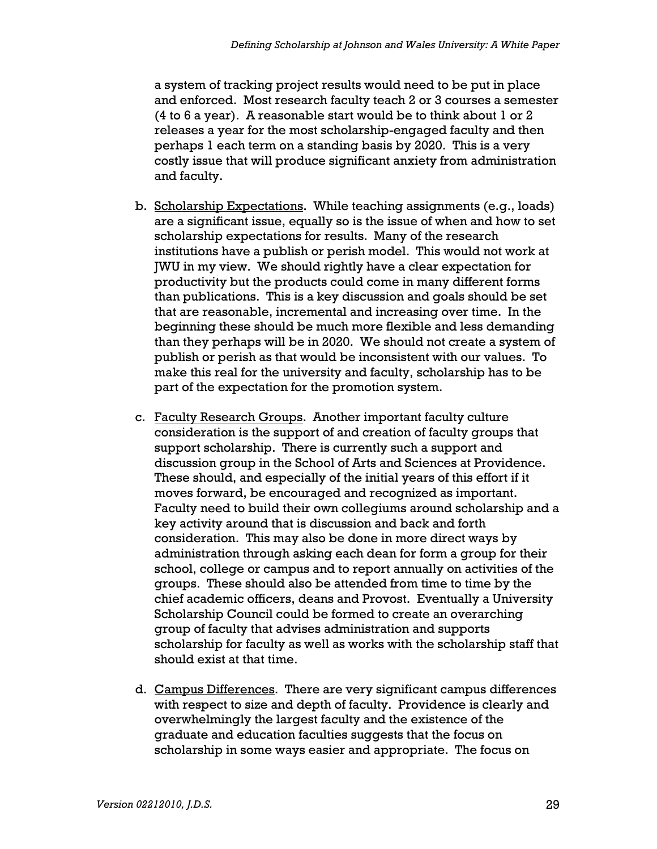a system of tracking project results would need to be put in place and enforced. Most research faculty teach 2 or 3 courses a semester (4 to 6 a year). A reasonable start would be to think about 1 or 2 releases a year for the most scholarship-engaged faculty and then perhaps 1 each term on a standing basis by 2020. This is a very costly issue that will produce significant anxiety from administration and faculty.

- b. Scholarship Expectations. While teaching assignments (e.g., loads) are a significant issue, equally so is the issue of when and how to set scholarship expectations for results. Many of the research institutions have a publish or perish model. This would not work at JWU in my view. We should rightly have a clear expectation for productivity but the products could come in many different forms than publications. This is a key discussion and goals should be set that are reasonable, incremental and increasing over time. In the beginning these should be much more flexible and less demanding than they perhaps will be in 2020. We should not create a system of publish or perish as that would be inconsistent with our values. To make this real for the university and faculty, scholarship has to be part of the expectation for the promotion system.
- c. Faculty Research Groups. Another important faculty culture consideration is the support of and creation of faculty groups that support scholarship. There is currently such a support and discussion group in the School of Arts and Sciences at Providence. These should, and especially of the initial years of this effort if it moves forward, be encouraged and recognized as important. Faculty need to build their own collegiums around scholarship and a key activity around that is discussion and back and forth consideration. This may also be done in more direct ways by administration through asking each dean for form a group for their school, college or campus and to report annually on activities of the groups. These should also be attended from time to time by the chief academic officers, deans and Provost. Eventually a University Scholarship Council could be formed to create an overarching group of faculty that advises administration and supports scholarship for faculty as well as works with the scholarship staff that should exist at that time.
- d. Campus Differences. There are very significant campus differences with respect to size and depth of faculty. Providence is clearly and overwhelmingly the largest faculty and the existence of the graduate and education faculties suggests that the focus on scholarship in some ways easier and appropriate. The focus on